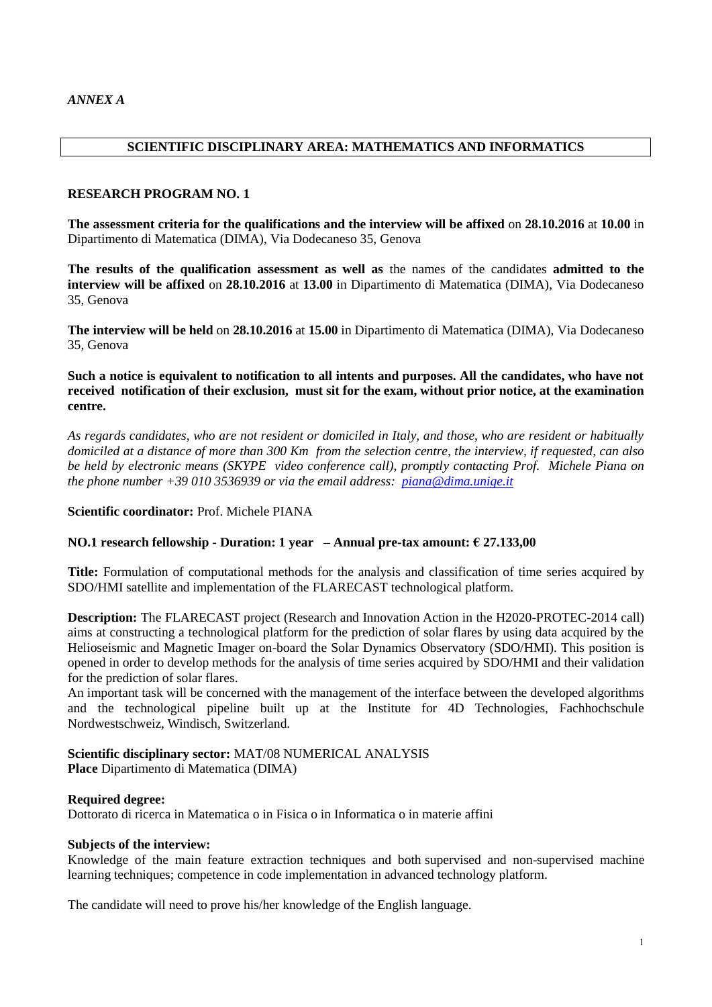### **SCIENTIFIC DISCIPLINARY AREA: MATHEMATICS AND INFORMATICS**

#### **RESEARCH PROGRAM NO. 1**

**The assessment criteria for the qualifications and the interview will be affixed** on **28.10.2016** at **10.00** in Dipartimento di Matematica (DIMA), Via Dodecaneso 35, Genova

**The results of the qualification assessment as well as** the names of the candidates **admitted to the interview will be affixed** on **28.10.2016** at **13.00** in Dipartimento di Matematica (DIMA), Via Dodecaneso 35, Genova

**The interview will be held** on **28.10.2016** at **15.00** in Dipartimento di Matematica (DIMA), Via Dodecaneso 35, Genova

**Such a notice is equivalent to notification to all intents and purposes. All the candidates, who have not received notification of their exclusion, must sit for the exam, without prior notice, at the examination centre.**

*As regards candidates, who are not resident or domiciled in Italy, and those, who are resident or habitually domiciled at a distance of more than 300 Km from the selection centre, the interview, if requested, can also be held by electronic means (SKYPE video conference call), promptly contacting Prof. Michele Piana on the phone number +39 010 3536939 or via the email address: [piana@dima.unige.it](mailto:piana@dima.unige.it)*

**Scientific coordinator:** Prof. Michele PIANA

### **NO.1 research fellowship - Duration: 1 year – Annual pre-tax amount: € 27.133,00**

**Title:** Formulation of computational methods for the analysis and classification of time series acquired by SDO/HMI satellite and implementation of the FLARECAST technological platform.

**Description:** The FLARECAST project (Research and Innovation Action in the H2020-PROTEC-2014 call) aims at constructing a technological platform for the prediction of solar flares by using data acquired by the Helioseismic and Magnetic Imager on-board the Solar Dynamics Observatory (SDO/HMI). This position is opened in order to develop methods for the analysis of time series acquired by SDO/HMI and their validation for the prediction of solar flares.

An important task will be concerned with the management of the interface between the developed algorithms and the technological pipeline built up at the Institute for 4D Technologies, Fachhochschule Nordwestschweiz, Windisch, Switzerland.

#### **Scientific disciplinary sector:** MAT/08 NUMERICAL ANALYSIS **Place** Dipartimento di Matematica (DIMA)

### **Required degree:**

Dottorato di ricerca in Matematica o in Fisica o in Informatica o in materie affini

#### **Subjects of the interview:**

Knowledge of the main feature extraction techniques and both supervised and non-supervised machine learning techniques; competence in code implementation in advanced technology platform.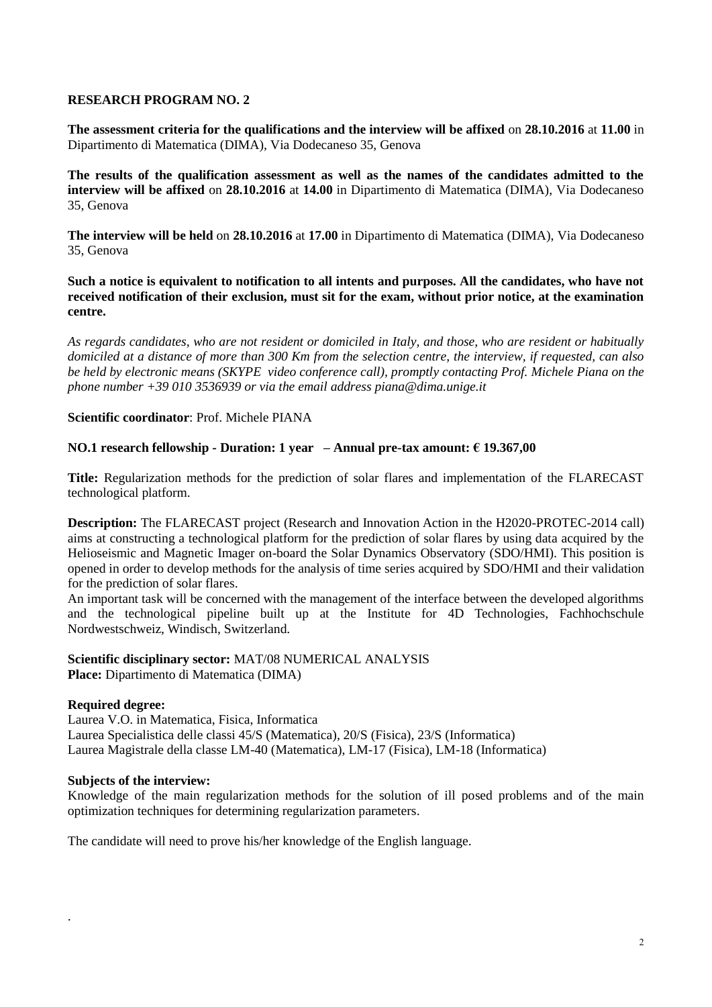**The assessment criteria for the qualifications and the interview will be affixed** on **28.10.2016** at **11.00** in Dipartimento di Matematica (DIMA), Via Dodecaneso 35, Genova

**The results of the qualification assessment as well as the names of the candidates admitted to the interview will be affixed** on **28.10.2016** at **14.00** in Dipartimento di Matematica (DIMA), Via Dodecaneso 35, Genova

**The interview will be held** on **28.10.2016** at **17.00** in Dipartimento di Matematica (DIMA), Via Dodecaneso 35, Genova

**Such a notice is equivalent to notification to all intents and purposes. All the candidates, who have not received notification of their exclusion, must sit for the exam, without prior notice, at the examination centre.**

*As regards candidates, who are not resident or domiciled in Italy, and those, who are resident or habitually domiciled at a distance of more than 300 Km from the selection centre, the interview, if requested, can also be held by electronic means (SKYPE video conference call), promptly contacting Prof. Michele Piana on the phone number +39 010 3536939 or via the email address piana@dima.unige.it*

**Scientific coordinator**: Prof. Michele PIANA

### **NO.1 research fellowship - Duration: 1 year – Annual pre-tax amount: € 19.367,00**

**Title:** Regularization methods for the prediction of solar flares and implementation of the FLARECAST technological platform.

**Description:** The FLARECAST project (Research and Innovation Action in the H2020-PROTEC-2014 call) aims at constructing a technological platform for the prediction of solar flares by using data acquired by the Helioseismic and Magnetic Imager on-board the Solar Dynamics Observatory (SDO/HMI). This position is opened in order to develop methods for the analysis of time series acquired by SDO/HMI and their validation for the prediction of solar flares.

An important task will be concerned with the management of the interface between the developed algorithms and the technological pipeline built up at the Institute for 4D Technologies, Fachhochschule Nordwestschweiz, Windisch, Switzerland.

### **Scientific disciplinary sector:** MAT/08 NUMERICAL ANALYSIS **Place:** Dipartimento di Matematica (DIMA)

### **Required degree:**

.

Laurea V.O. in Matematica, Fisica, Informatica Laurea Specialistica delle classi 45/S (Matematica), 20/S (Fisica), 23/S (Informatica) Laurea Magistrale della classe LM-40 (Matematica), LM-17 (Fisica), LM-18 (Informatica)

### **Subjects of the interview:**

Knowledge of the main regularization methods for the solution of ill posed problems and of the main optimization techniques for determining regularization parameters.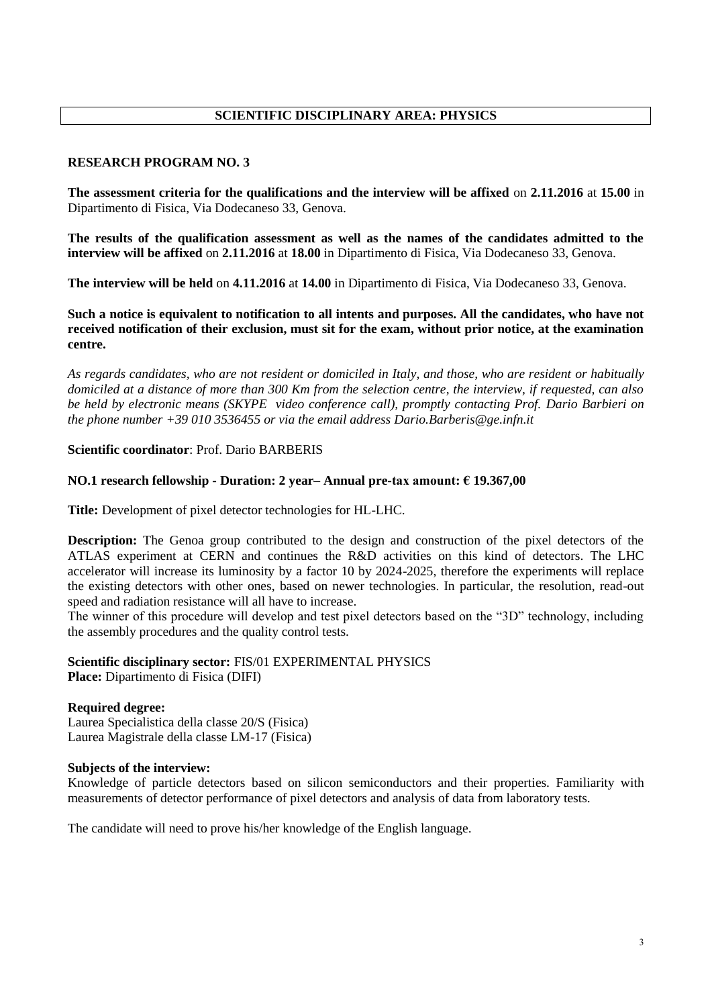# **SCIENTIFIC DISCIPLINARY AREA: PHYSICS**

# **RESEARCH PROGRAM NO. 3**

**The assessment criteria for the qualifications and the interview will be affixed** on **2.11.2016** at **15.00** in Dipartimento di Fisica, Via Dodecaneso 33, Genova.

**The results of the qualification assessment as well as the names of the candidates admitted to the interview will be affixed** on **2.11.2016** at **18.00** in Dipartimento di Fisica, Via Dodecaneso 33, Genova.

**The interview will be held** on **4.11.2016** at **14.00** in Dipartimento di Fisica, Via Dodecaneso 33, Genova.

**Such a notice is equivalent to notification to all intents and purposes. All the candidates, who have not received notification of their exclusion, must sit for the exam, without prior notice, at the examination centre.**

*As regards candidates, who are not resident or domiciled in Italy, and those, who are resident or habitually domiciled at a distance of more than 300 Km from the selection centre, the interview, if requested, can also be held by electronic means (SKYPE video conference call), promptly contacting Prof. Dario Barbieri on the phone number +39 010 3536455 or via the email address Dario.Barberis@ge.infn.it*

# **Scientific coordinator**: Prof. Dario BARBERIS

### **NO.1 research fellowship - Duration: 2 year– Annual pre-tax amount: € 19.367,00**

**Title:** Development of pixel detector technologies for HL-LHC.

**Description:** The Genoa group contributed to the design and construction of the pixel detectors of the ATLAS experiment at CERN and continues the R&D activities on this kind of detectors. The LHC accelerator will increase its luminosity by a factor 10 by 2024-2025, therefore the experiments will replace the existing detectors with other ones, based on newer technologies. In particular, the resolution, read-out speed and radiation resistance will all have to increase.

The winner of this procedure will develop and test pixel detectors based on the "3D" technology, including the assembly procedures and the quality control tests.

#### **Scientific disciplinary sector:** FIS/01 EXPERIMENTAL PHYSICS **Place:** Dipartimento di Fisica (DIFI)

### **Required degree:**

Laurea Specialistica della classe 20/S (Fisica) Laurea Magistrale della classe LM-17 (Fisica)

### **Subjects of the interview:**

Knowledge of particle detectors based on silicon semiconductors and their properties. Familiarity with measurements of detector performance of pixel detectors and analysis of data from laboratory tests.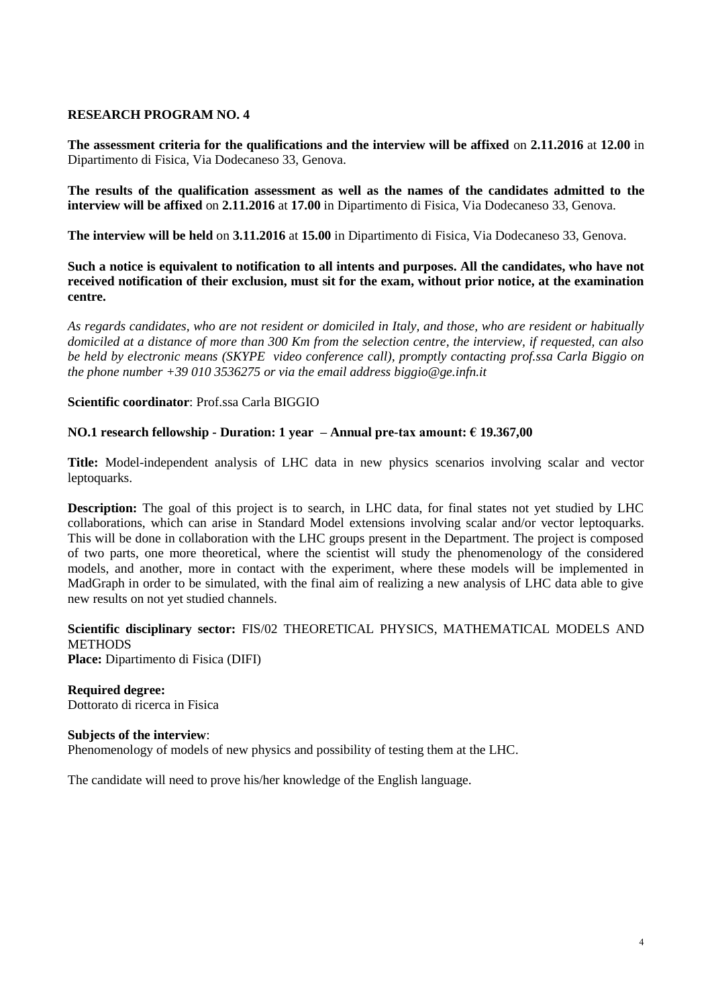**The assessment criteria for the qualifications and the interview will be affixed** on **2.11.2016** at **12.00** in Dipartimento di Fisica, Via Dodecaneso 33, Genova.

**The results of the qualification assessment as well as the names of the candidates admitted to the interview will be affixed** on **2.11.2016** at **17.00** in Dipartimento di Fisica, Via Dodecaneso 33, Genova.

**The interview will be held** on **3.11.2016** at **15.00** in Dipartimento di Fisica, Via Dodecaneso 33, Genova.

**Such a notice is equivalent to notification to all intents and purposes. All the candidates, who have not received notification of their exclusion, must sit for the exam, without prior notice, at the examination centre.**

*As regards candidates, who are not resident or domiciled in Italy, and those, who are resident or habitually domiciled at a distance of more than 300 Km from the selection centre, the interview, if requested, can also be held by electronic means (SKYPE video conference call), promptly contacting prof.ssa Carla Biggio on the phone number +39 010 3536275 or via the email address biggio@ge.infn.it*

### **Scientific coordinator**: Prof.ssa Carla BIGGIO

#### **NO.1 research fellowship - Duration: 1 year – Annual pre-tax amount: € 19.367,00**

**Title:** Model-independent analysis of LHC data in new physics scenarios involving scalar and vector leptoquarks.

**Description:** The goal of this project is to search, in LHC data, for final states not yet studied by LHC collaborations, which can arise in Standard Model extensions involving scalar and/or vector leptoquarks. This will be done in collaboration with the LHC groups present in the Department. The project is composed of two parts, one more theoretical, where the scientist will study the phenomenology of the considered models, and another, more in contact with the experiment, where these models will be implemented in MadGraph in order to be simulated, with the final aim of realizing a new analysis of LHC data able to give new results on not yet studied channels.

# **Scientific disciplinary sector:** FIS/02 THEORETICAL PHYSICS, MATHEMATICAL MODELS AND **METHODS**

**Place:** Dipartimento di Fisica (DIFI)

**Required degree:**  Dottorato di ricerca in Fisica

# **Subjects of the interview**:

Phenomenology of models of new physics and possibility of testing them at the LHC.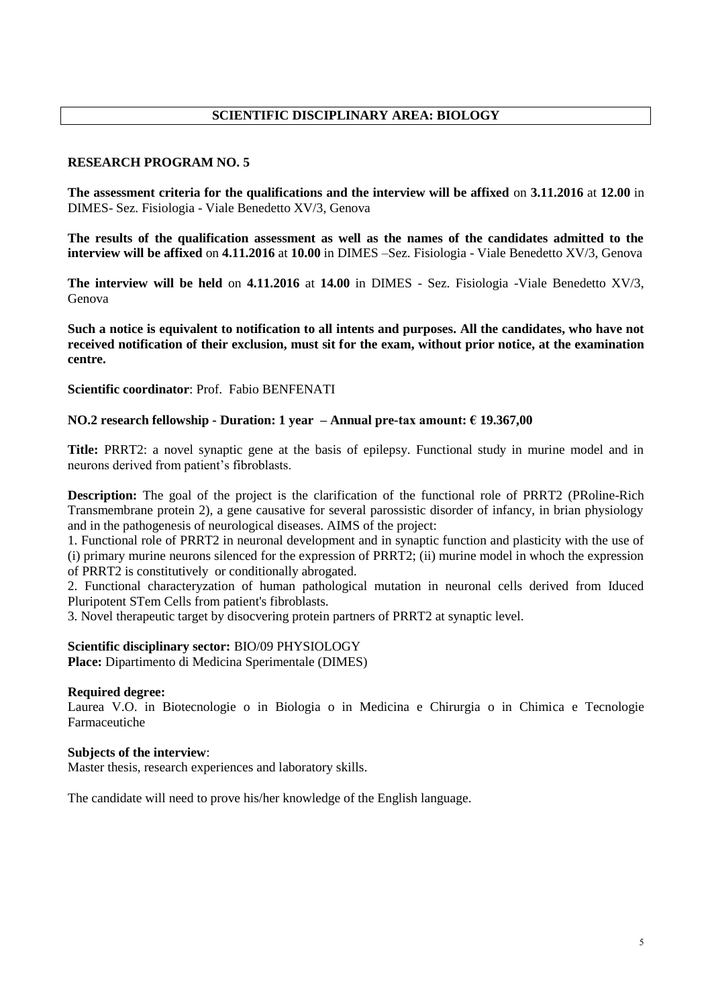# **SCIENTIFIC DISCIPLINARY AREA: BIOLOGY**

### **RESEARCH PROGRAM NO. 5**

**The assessment criteria for the qualifications and the interview will be affixed** on **3.11.2016** at **12.00** in DIMES- Sez. Fisiologia - Viale Benedetto XV/3, Genova

**The results of the qualification assessment as well as the names of the candidates admitted to the interview will be affixed** on **4.11.2016** at **10.00** in DIMES –Sez. Fisiologia - Viale Benedetto XV/3, Genova

**The interview will be held** on **4.11.2016** at **14.00** in DIMES - Sez. Fisiologia -Viale Benedetto XV/3, Genova

**Such a notice is equivalent to notification to all intents and purposes. All the candidates, who have not received notification of their exclusion, must sit for the exam, without prior notice, at the examination centre.**

**Scientific coordinator**: Prof. Fabio BENFENATI

#### **NO.2 research fellowship - Duration: 1 year – Annual pre-tax amount: € 19.367,00**

**Title:** PRRT2: a novel synaptic gene at the basis of epilepsy. Functional study in murine model and in neurons derived from patient's fibroblasts.

**Description:** The goal of the project is the clarification of the functional role of PRRT2 (PRoline-Rich Transmembrane protein 2), a gene causative for several parossistic disorder of infancy, in brian physiology and in the pathogenesis of neurological diseases. AIMS of the project:

1. Functional role of PRRT2 in neuronal development and in synaptic function and plasticity with the use of (i) primary murine neurons silenced for the expression of PRRT2; (ii) murine model in whoch the expression of PRRT2 is constitutively or conditionally abrogated.

2. Functional characteryzation of human pathological mutation in neuronal cells derived from Iduced Pluripotent STem Cells from patient's fibroblasts.

3. Novel therapeutic target by disocvering protein partners of PRRT2 at synaptic level.

### **Scientific disciplinary sector:** BIO/09 PHYSIOLOGY

**Place:** Dipartimento di Medicina Sperimentale (DIMES)

#### **Required degree:**

Laurea V.O. in Biotecnologie o in Biologia o in Medicina e Chirurgia o in Chimica e Tecnologie Farmaceutiche

#### **Subjects of the interview**:

Master thesis, research experiences and laboratory skills.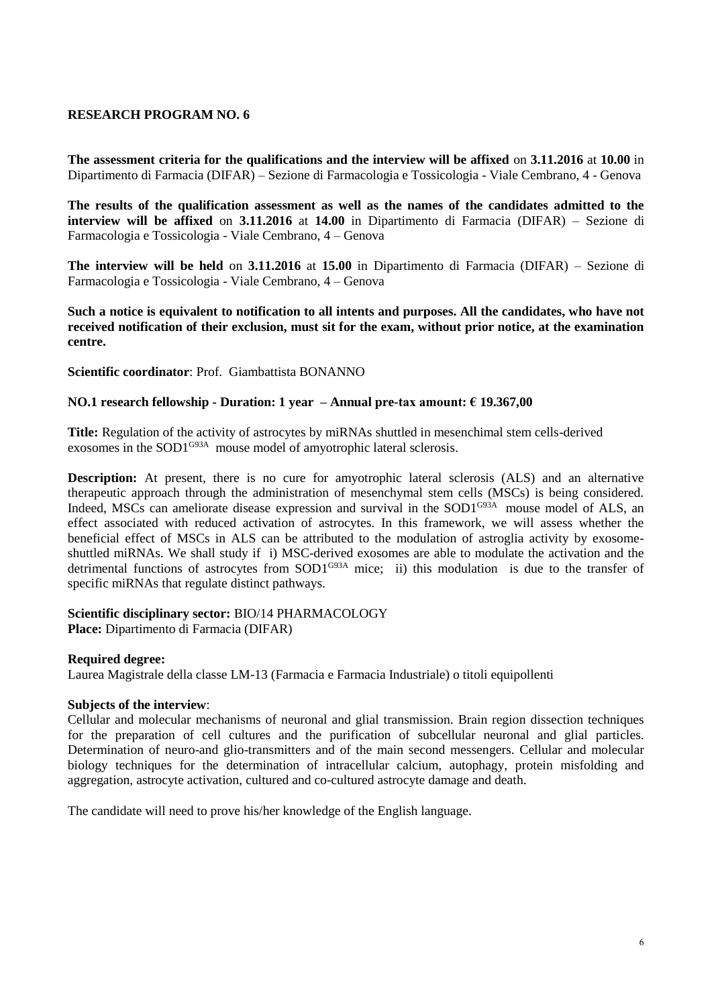**The assessment criteria for the qualifications and the interview will be affixed** on **3.11.2016** at **10.00** in Dipartimento di Farmacia (DIFAR) – Sezione di Farmacologia e Tossicologia - Viale Cembrano, 4 - Genova

**The results of the qualification assessment as well as the names of the candidates admitted to the interview will be affixed** on **3.11.2016** at **14.00** in Dipartimento di Farmacia (DIFAR) – Sezione di Farmacologia e Tossicologia - Viale Cembrano, 4 – Genova

**The interview will be held** on **3.11.2016** at **15.00** in Dipartimento di Farmacia (DIFAR) – Sezione di Farmacologia e Tossicologia - Viale Cembrano, 4 – Genova

**Such a notice is equivalent to notification to all intents and purposes. All the candidates, who have not received notification of their exclusion, must sit for the exam, without prior notice, at the examination centre.**

**Scientific coordinator**: Prof. Giambattista BONANNO

### **NO.1 research fellowship - Duration: 1 year – Annual pre-tax amount: € 19.367,00**

**Title:** Regulation of the activity of astrocytes by miRNAs shuttled in mesenchimal stem cells-derived exosomes in the SOD1<sup>G93A</sup> mouse model of amyotrophic lateral sclerosis.

**Description:** At present, there is no cure for amyotrophic lateral sclerosis (ALS) and an alternative therapeutic approach through the administration of mesenchymal stem cells (MSCs) is being considered. Indeed, MSCs can ameliorate disease expression and survival in the SOD1<sup>G93A</sup> mouse model of ALS, an effect associated with reduced activation of astrocytes. In this framework, we will assess whether the beneficial effect of MSCs in ALS can be attributed to the modulation of astroglia activity by exosomeshuttled miRNAs. We shall study if i) MSC-derived exosomes are able to modulate the activation and the detrimental functions of astrocytes from SOD1<sup>G93A</sup> mice; ii) this modulation is due to the transfer of specific miRNAs that regulate distinct pathways.

**Scientific disciplinary sector:** BIO/14 PHARMACOLOGY

**Place:** Dipartimento di Farmacia (DIFAR)

### **Required degree:**

Laurea Magistrale della classe LM-13 (Farmacia e Farmacia Industriale) o titoli equipollenti

### **Subjects of the interview**:

Cellular and molecular mechanisms of neuronal and glial transmission. Brain region dissection techniques for the preparation of cell cultures and the purification of subcellular neuronal and glial particles. Determination of neuro-and glio-transmitters and of the main second messengers. Cellular and molecular biology techniques for the determination of intracellular calcium, autophagy, protein misfolding and aggregation, astrocyte activation, cultured and co-cultured astrocyte damage and death.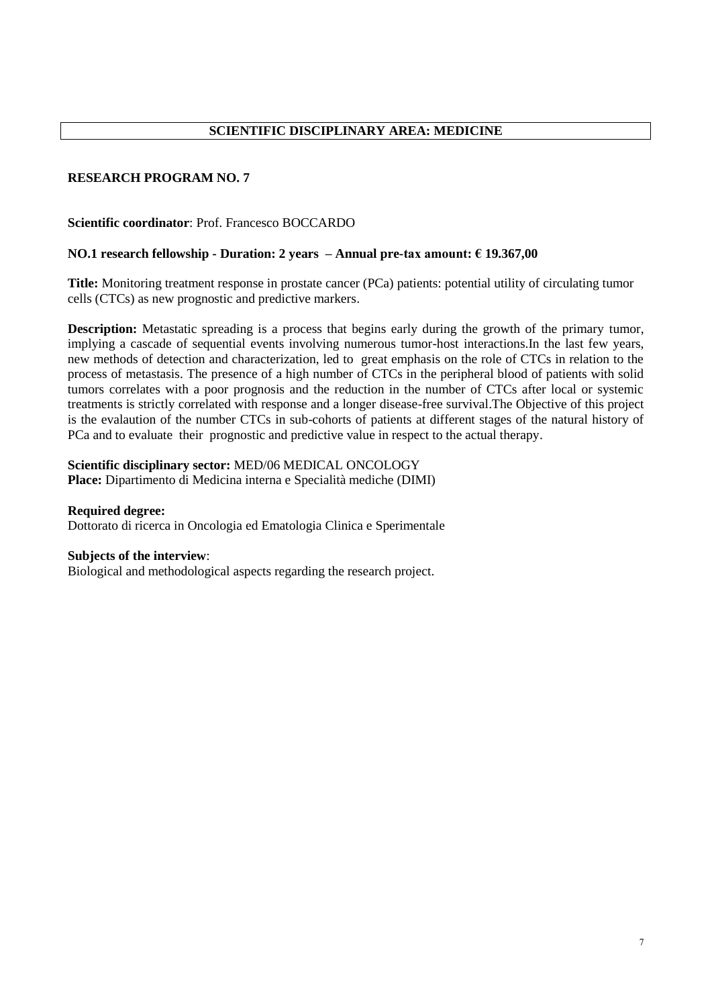### **Scientific coordinator**: Prof. Francesco BOCCARDO

### **NO.1 research fellowship - Duration: 2 years – Annual pre-tax amount: € 19.367,00**

**Title:** Monitoring treatment response in prostate cancer (PCa) patients: potential utility of circulating tumor cells (CTCs) as new prognostic and predictive markers.

**Description:** Metastatic spreading is a process that begins early during the growth of the primary tumor, implying a cascade of sequential events involving numerous tumor-host interactions.In the last few years, new methods of detection and characterization, led to great emphasis on the role of CTCs in relation to the process of metastasis. The presence of a high number of CTCs in the peripheral blood of patients with solid tumors correlates with a poor prognosis and the reduction in the number of CTCs after local or systemic treatments is strictly correlated with response and a longer disease-free survival.The Objective of this project is the evalaution of the number CTCs in sub-cohorts of patients at different stages of the natural history of PCa and to evaluate their prognostic and predictive value in respect to the actual therapy.

# **Scientific disciplinary sector:** MED/06 MEDICAL ONCOLOGY

**Place:** Dipartimento di Medicina interna e Specialità mediche (DIMI)

### **Required degree:**

Dottorato di ricerca in Oncologia ed Ematologia Clinica e Sperimentale

#### **Subjects of the interview**:

Biological and methodological aspects regarding the research project.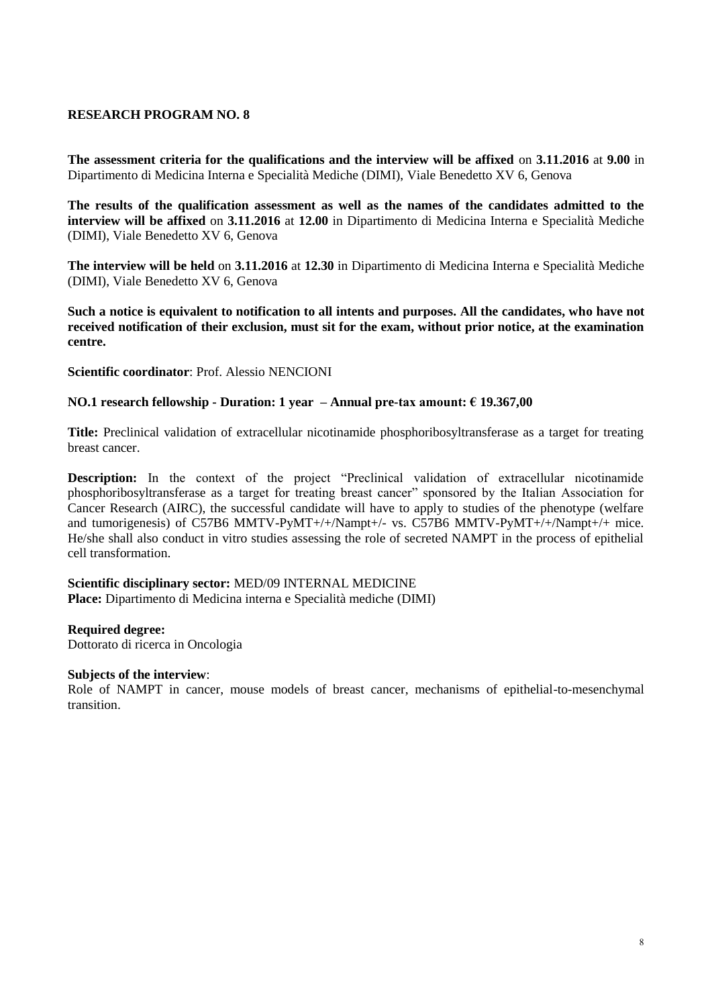**The assessment criteria for the qualifications and the interview will be affixed** on **3.11.2016** at **9.00** in Dipartimento di Medicina Interna e Specialità Mediche (DIMI), Viale Benedetto XV 6, Genova

**The results of the qualification assessment as well as the names of the candidates admitted to the interview will be affixed** on **3.11.2016** at **12.00** in Dipartimento di Medicina Interna e Specialità Mediche (DIMI), Viale Benedetto XV 6, Genova

**The interview will be held** on **3.11.2016** at **12.30** in Dipartimento di Medicina Interna e Specialità Mediche (DIMI), Viale Benedetto XV 6, Genova

**Such a notice is equivalent to notification to all intents and purposes. All the candidates, who have not received notification of their exclusion, must sit for the exam, without prior notice, at the examination centre.**

**Scientific coordinator**: Prof. Alessio NENCIONI

### **NO.1 research fellowship - Duration: 1 year – Annual pre-tax amount: € 19.367,00**

**Title:** Preclinical validation of extracellular nicotinamide phosphoribosyltransferase as a target for treating breast cancer.

**Description:** In the context of the project "Preclinical validation of extracellular nicotinamide phosphoribosyltransferase as a target for treating breast cancer" sponsored by the Italian Association for Cancer Research (AIRC), the successful candidate will have to apply to studies of the phenotype (welfare and tumorigenesis) of C57B6 MMTV-PyMT+/+/Nampt+/- vs. C57B6 MMTV-PyMT+/+/Nampt+/+ mice. He/she shall also conduct in vitro studies assessing the role of secreted NAMPT in the process of epithelial cell transformation.

#### **Scientific disciplinary sector:** MED/09 INTERNAL MEDICINE **Place:** Dipartimento di Medicina interna e Specialità mediche (DIMI)

### **Required degree:**

Dottorato di ricerca in Oncologia

### **Subjects of the interview**:

Role of NAMPT in cancer, mouse models of breast cancer, mechanisms of epithelial-to-mesenchymal transition.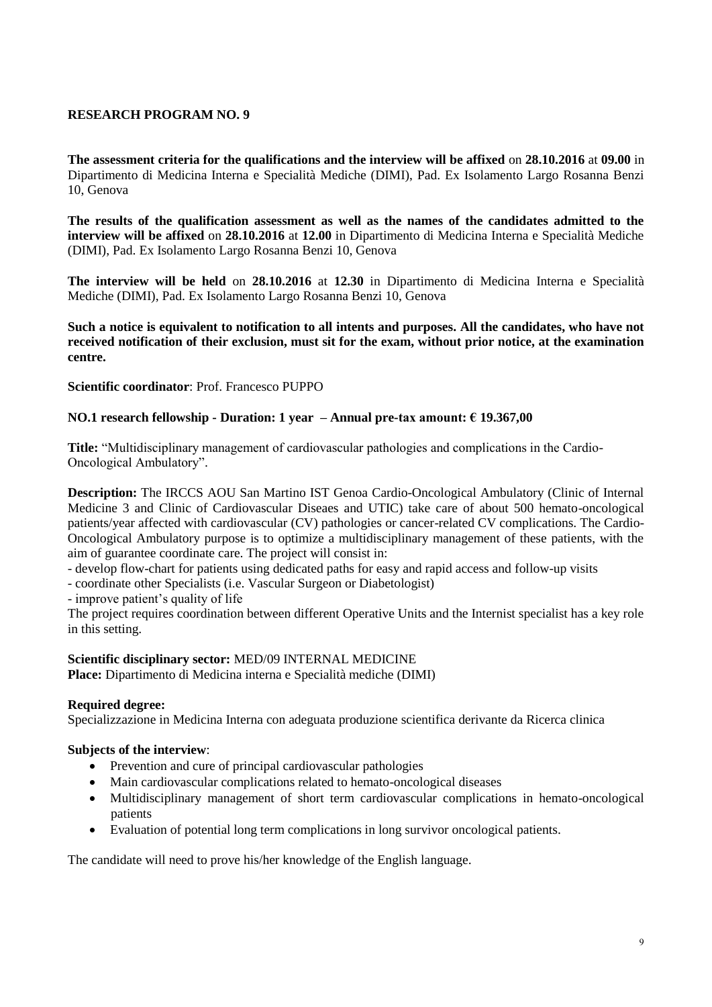**The assessment criteria for the qualifications and the interview will be affixed** on **28.10.2016** at **09.00** in Dipartimento di Medicina Interna e Specialità Mediche (DIMI), Pad. Ex Isolamento Largo Rosanna Benzi 10, Genova

**The results of the qualification assessment as well as the names of the candidates admitted to the interview will be affixed** on **28.10.2016** at **12.00** in Dipartimento di Medicina Interna e Specialità Mediche (DIMI), Pad. Ex Isolamento Largo Rosanna Benzi 10, Genova

**The interview will be held** on **28.10.2016** at **12.30** in Dipartimento di Medicina Interna e Specialità Mediche (DIMI), Pad. Ex Isolamento Largo Rosanna Benzi 10, Genova

**Such a notice is equivalent to notification to all intents and purposes. All the candidates, who have not received notification of their exclusion, must sit for the exam, without prior notice, at the examination centre.**

**Scientific coordinator**: Prof. Francesco PUPPO

### **NO.1 research fellowship - Duration: 1 year – Annual pre-tax amount: € 19.367,00**

**Title:** "Multidisciplinary management of cardiovascular pathologies and complications in the Cardio-Oncological Ambulatory".

**Description:** The IRCCS AOU San Martino IST Genoa Cardio-Oncological Ambulatory (Clinic of Internal Medicine 3 and Clinic of Cardiovascular Diseaes and UTIC) take care of about 500 hemato-oncological patients/year affected with cardiovascular (CV) pathologies or cancer-related CV complications. The Cardio-Oncological Ambulatory purpose is to optimize a multidisciplinary management of these patients, with the aim of guarantee coordinate care. The project will consist in:

- develop flow-chart for patients using dedicated paths for easy and rapid access and follow-up visits

- coordinate other Specialists (i.e. Vascular Surgeon or Diabetologist)

- improve patient's quality of life

The project requires coordination between different Operative Units and the Internist specialist has a key role in this setting.

### **Scientific disciplinary sector:** MED/09 INTERNAL MEDICINE

**Place:** Dipartimento di Medicina interna e Specialità mediche (DIMI)

### **Required degree:**

Specializzazione in Medicina Interna con adeguata produzione scientifica derivante da Ricerca clinica

### **Subjects of the interview**:

- Prevention and cure of principal cardiovascular pathologies
- Main cardiovascular complications related to hemato-oncological diseases
- Multidisciplinary management of short term cardiovascular complications in hemato-oncological patients
- Evaluation of potential long term complications in long survivor oncological patients.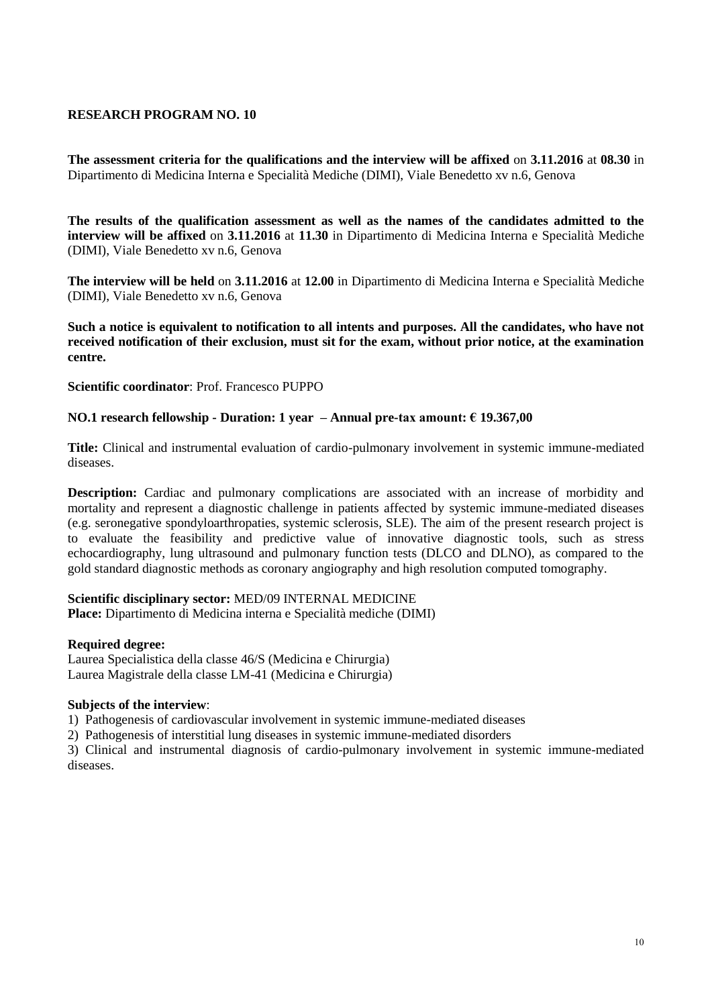**The assessment criteria for the qualifications and the interview will be affixed** on **3.11.2016** at **08.30** in Dipartimento di Medicina Interna e Specialità Mediche (DIMI), Viale Benedetto xv n.6, Genova

**The results of the qualification assessment as well as the names of the candidates admitted to the interview will be affixed** on **3.11.2016** at **11.30** in Dipartimento di Medicina Interna e Specialità Mediche (DIMI), Viale Benedetto xv n.6, Genova

**The interview will be held** on **3.11.2016** at **12.00** in Dipartimento di Medicina Interna e Specialità Mediche (DIMI), Viale Benedetto xv n.6, Genova

**Such a notice is equivalent to notification to all intents and purposes. All the candidates, who have not received notification of their exclusion, must sit for the exam, without prior notice, at the examination centre.**

**Scientific coordinator**: Prof. Francesco PUPPO

### **NO.1 research fellowship - Duration: 1 year – Annual pre-tax amount: € 19.367,00**

**Title:** Clinical and instrumental evaluation of cardio-pulmonary involvement in systemic immune-mediated diseases.

**Description:** Cardiac and pulmonary complications are associated with an increase of morbidity and mortality and represent a diagnostic challenge in patients affected by systemic immune-mediated diseases (e.g. seronegative spondyloarthropaties, systemic sclerosis, SLE). The aim of the present research project is to evaluate the feasibility and predictive value of innovative diagnostic tools, such as stress echocardiography, lung ultrasound and pulmonary function tests (DLCO and DLNO), as compared to the gold standard diagnostic methods as coronary angiography and high resolution computed tomography.

#### **Scientific disciplinary sector:** MED/09 INTERNAL MEDICINE

**Place:** Dipartimento di Medicina interna e Specialità mediche (DIMI)

#### **Required degree:**

Laurea Specialistica della classe 46/S (Medicina e Chirurgia) Laurea Magistrale della classe LM-41 (Medicina e Chirurgia)

### **Subjects of the interview**:

1) Pathogenesis of cardiovascular involvement in systemic immune-mediated diseases

2) Pathogenesis of interstitial lung diseases in systemic immune-mediated disorders

3) Clinical and instrumental diagnosis of cardio-pulmonary involvement in systemic immune-mediated diseases.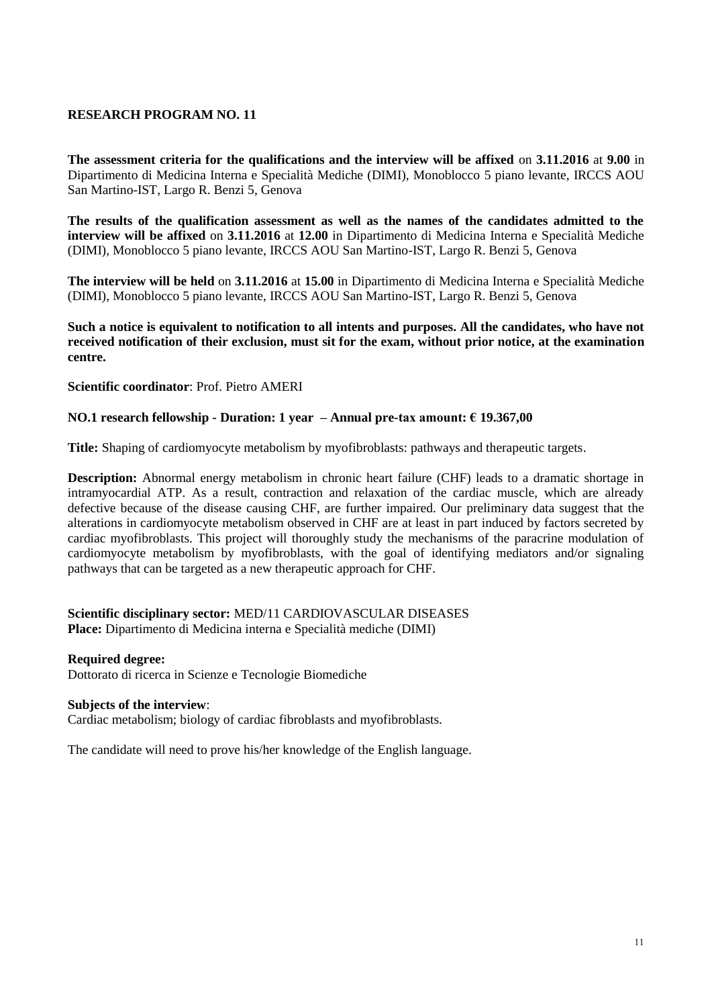**The assessment criteria for the qualifications and the interview will be affixed** on **3.11.2016** at **9.00** in Dipartimento di Medicina Interna e Specialità Mediche (DIMI), Monoblocco 5 piano levante, IRCCS AOU San Martino-IST, Largo R. Benzi 5, Genova

**The results of the qualification assessment as well as the names of the candidates admitted to the interview will be affixed** on **3.11.2016** at **12.00** in Dipartimento di Medicina Interna e Specialità Mediche (DIMI), Monoblocco 5 piano levante, IRCCS AOU San Martino-IST, Largo R. Benzi 5, Genova

**The interview will be held** on **3.11.2016** at **15.00** in Dipartimento di Medicina Interna e Specialità Mediche (DIMI), Monoblocco 5 piano levante, IRCCS AOU San Martino-IST, Largo R. Benzi 5, Genova

**Such a notice is equivalent to notification to all intents and purposes. All the candidates, who have not received notification of their exclusion, must sit for the exam, without prior notice, at the examination centre.**

**Scientific coordinator**: Prof. Pietro AMERI

# **NO.1 research fellowship - Duration: 1 year – Annual pre-tax amount: € 19.367,00**

**Title:** Shaping of cardiomyocyte metabolism by myofibroblasts: pathways and therapeutic targets.

**Description:** Abnormal energy metabolism in chronic heart failure (CHF) leads to a dramatic shortage in intramyocardial ATP. As a result, contraction and relaxation of the cardiac muscle, which are already defective because of the disease causing CHF, are further impaired. Our preliminary data suggest that the alterations in cardiomyocyte metabolism observed in CHF are at least in part induced by factors secreted by cardiac myofibroblasts. This project will thoroughly study the mechanisms of the paracrine modulation of cardiomyocyte metabolism by myofibroblasts, with the goal of identifying mediators and/or signaling pathways that can be targeted as a new therapeutic approach for CHF.

### **Scientific disciplinary sector:** MED/11 CARDIOVASCULAR DISEASES **Place:** Dipartimento di Medicina interna e Specialità mediche (DIMI)

#### **Required degree:**

Dottorato di ricerca in Scienze e Tecnologie Biomediche

#### **Subjects of the interview**:

Cardiac metabolism; biology of cardiac fibroblasts and myofibroblasts.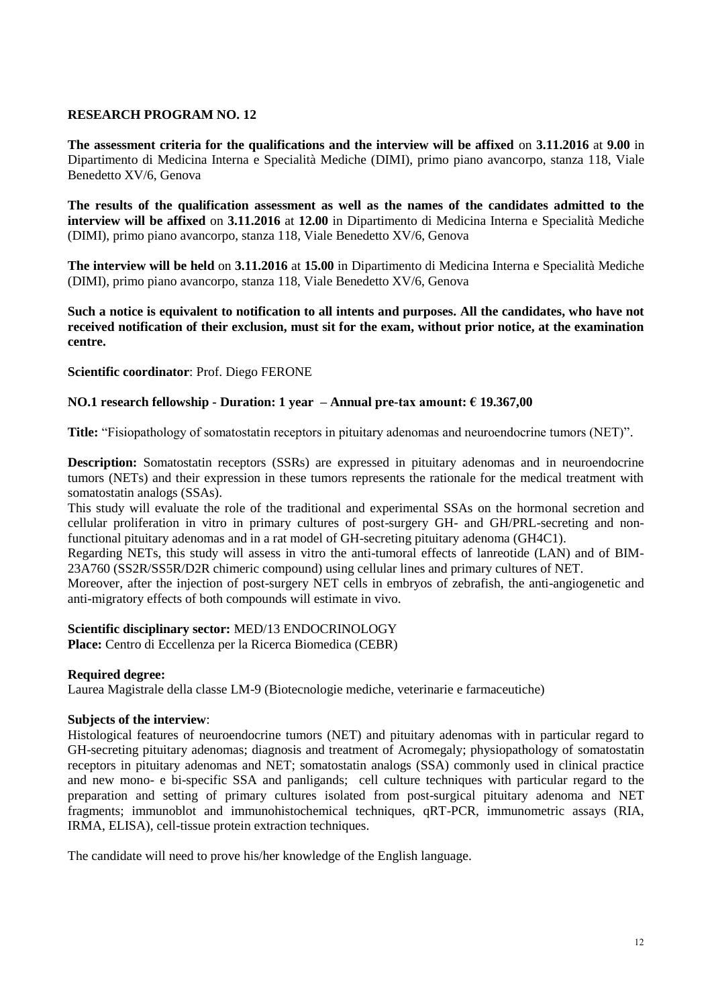**The assessment criteria for the qualifications and the interview will be affixed** on **3.11.2016** at **9.00** in Dipartimento di Medicina Interna e Specialità Mediche (DIMI), primo piano avancorpo, stanza 118, Viale Benedetto XV/6, Genova

**The results of the qualification assessment as well as the names of the candidates admitted to the interview will be affixed** on **3.11.2016** at **12.00** in Dipartimento di Medicina Interna e Specialità Mediche (DIMI), primo piano avancorpo, stanza 118, Viale Benedetto XV/6, Genova

**The interview will be held** on **3.11.2016** at **15.00** in Dipartimento di Medicina Interna e Specialità Mediche (DIMI), primo piano avancorpo, stanza 118, Viale Benedetto XV/6, Genova

**Such a notice is equivalent to notification to all intents and purposes. All the candidates, who have not received notification of their exclusion, must sit for the exam, without prior notice, at the examination centre.**

**Scientific coordinator**: Prof. Diego FERONE

### **NO.1 research fellowship - Duration: 1 year – Annual pre-tax amount: € 19.367,00**

**Title:** "Fisiopathology of somatostatin receptors in pituitary adenomas and neuroendocrine tumors (NET)".

**Description:** Somatostatin receptors (SSRs) are expressed in pituitary adenomas and in neuroendocrine tumors (NETs) and their expression in these tumors represents the rationale for the medical treatment with somatostatin analogs (SSAs).

This study will evaluate the role of the traditional and experimental SSAs on the hormonal secretion and cellular proliferation in vitro in primary cultures of post-surgery GH- and GH/PRL-secreting and nonfunctional pituitary adenomas and in a rat model of GH-secreting pituitary adenoma (GH4C1).

Regarding NETs, this study will assess in vitro the anti-tumoral effects of lanreotide (LAN) and of BIM-23A760 (SS2R/SS5R/D2R chimeric compound) using cellular lines and primary cultures of NET.

Moreover, after the injection of post-surgery NET cells in embryos of zebrafish, the anti-angiogenetic and anti-migratory effects of both compounds will estimate in vivo.

# **Scientific disciplinary sector:** MED/13 ENDOCRINOLOGY

**Place:** Centro di Eccellenza per la Ricerca Biomedica (CEBR)

### **Required degree:**

Laurea Magistrale della classe LM-9 (Biotecnologie mediche, veterinarie e farmaceutiche)

### **Subjects of the interview**:

Histological features of neuroendocrine tumors (NET) and pituitary adenomas with in particular regard to GH-secreting pituitary adenomas; diagnosis and treatment of Acromegaly; physiopathology of somatostatin receptors in pituitary adenomas and NET; somatostatin analogs (SSA) commonly used in clinical practice and new mono- e bi-specific SSA and panligands; cell culture techniques with particular regard to the preparation and setting of primary cultures isolated from post-surgical pituitary adenoma and NET fragments; immunoblot and immunohistochemical techniques, qRT-PCR, immunometric assays (RIA, IRMA, ELISA), cell-tissue protein extraction techniques.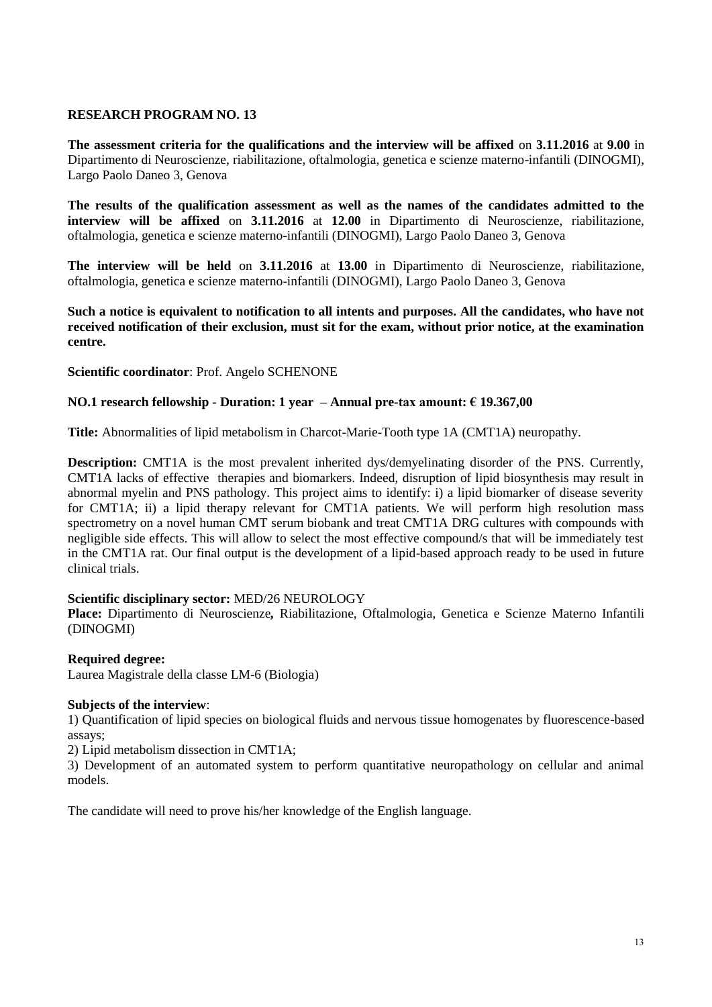**The assessment criteria for the qualifications and the interview will be affixed** on **3.11.2016** at **9.00** in Dipartimento di Neuroscienze, riabilitazione, oftalmologia, genetica e scienze materno-infantili (DINOGMI), Largo Paolo Daneo 3, Genova

**The results of the qualification assessment as well as the names of the candidates admitted to the interview will be affixed** on **3.11.2016** at **12.00** in Dipartimento di Neuroscienze, riabilitazione, oftalmologia, genetica e scienze materno-infantili (DINOGMI), Largo Paolo Daneo 3, Genova

**The interview will be held** on **3.11.2016** at **13.00** in Dipartimento di Neuroscienze, riabilitazione, oftalmologia, genetica e scienze materno-infantili (DINOGMI), Largo Paolo Daneo 3, Genova

**Such a notice is equivalent to notification to all intents and purposes. All the candidates, who have not received notification of their exclusion, must sit for the exam, without prior notice, at the examination centre.**

**Scientific coordinator**: Prof. Angelo SCHENONE

### **NO.1 research fellowship - Duration: 1 year – Annual pre-tax amount: € 19.367,00**

**Title:** Abnormalities of lipid metabolism in Charcot-Marie-Tooth type 1A (CMT1A) neuropathy.

**Description:** CMT1A is the most prevalent inherited dys/demyelinating disorder of the PNS. Currently, CMT1A lacks of effective therapies and biomarkers. Indeed, disruption of lipid biosynthesis may result in abnormal myelin and PNS pathology. This project aims to identify: i) a lipid biomarker of disease severity for CMT1A; ii) a lipid therapy relevant for CMT1A patients. We will perform high resolution mass spectrometry on a novel human CMT serum biobank and treat CMT1A DRG cultures with compounds with negligible side effects. This will allow to select the most effective compound/s that will be immediately test in the CMT1A rat. Our final output is the development of a lipid-based approach ready to be used in future clinical trials.

### **Scientific disciplinary sector:** MED/26 NEUROLOGY

**Place:** Dipartimento di Neuroscienze*,* Riabilitazione, Oftalmologia, Genetica e Scienze Materno Infantili (DINOGMI)

### **Required degree:**

Laurea Magistrale della classe LM-6 (Biologia)

### **Subjects of the interview**:

1) Quantification of lipid species on biological fluids and nervous tissue homogenates by fluorescence-based assays;

2) Lipid metabolism dissection in CMT1A;

3) Development of an automated system to perform quantitative neuropathology on cellular and animal models.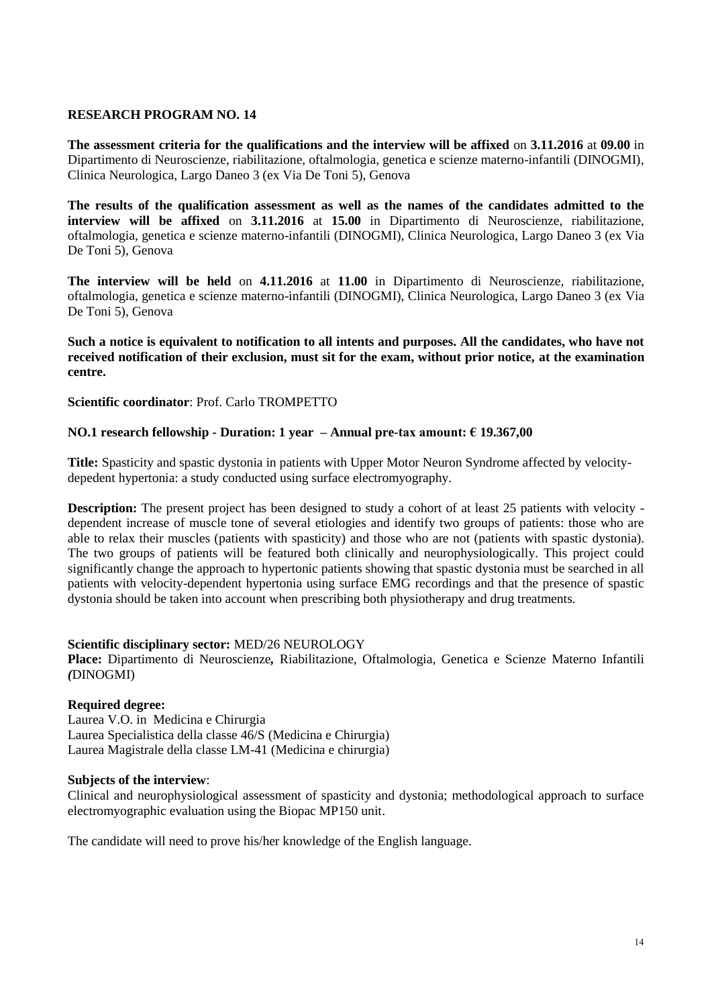**The assessment criteria for the qualifications and the interview will be affixed** on **3.11.2016** at **09.00** in Dipartimento di Neuroscienze, riabilitazione, oftalmologia, genetica e scienze materno-infantili (DINOGMI), Clinica Neurologica, Largo Daneo 3 (ex Via De Toni 5), Genova

**The results of the qualification assessment as well as the names of the candidates admitted to the interview will be affixed** on **3.11.2016** at **15.00** in Dipartimento di Neuroscienze, riabilitazione, oftalmologia, genetica e scienze materno-infantili (DINOGMI), Clinica Neurologica, Largo Daneo 3 (ex Via De Toni 5), Genova

**The interview will be held** on **4.11.2016** at **11.00** in Dipartimento di Neuroscienze, riabilitazione, oftalmologia, genetica e scienze materno-infantili (DINOGMI), Clinica Neurologica, Largo Daneo 3 (ex Via De Toni 5), Genova

**Such a notice is equivalent to notification to all intents and purposes. All the candidates, who have not received notification of their exclusion, must sit for the exam, without prior notice, at the examination centre.**

**Scientific coordinator**: Prof. Carlo TROMPETTO

### **NO.1 research fellowship - Duration: 1 year – Annual pre-tax amount: € 19.367,00**

**Title:** Spasticity and spastic dystonia in patients with Upper Motor Neuron Syndrome affected by velocitydepedent hypertonia: a study conducted using surface electromyography.

**Description:** The present project has been designed to study a cohort of at least 25 patients with velocity dependent increase of muscle tone of several etiologies and identify two groups of patients: those who are able to relax their muscles (patients with spasticity) and those who are not (patients with spastic dystonia). The two groups of patients will be featured both clinically and neurophysiologically. This project could significantly change the approach to hypertonic patients showing that spastic dystonia must be searched in all patients with velocity-dependent hypertonia using surface EMG recordings and that the presence of spastic dystonia should be taken into account when prescribing both physiotherapy and drug treatments.

#### **Scientific disciplinary sector:** MED/26 NEUROLOGY

**Place:** Dipartimento di Neuroscienze*,* Riabilitazione, Oftalmologia, Genetica e Scienze Materno Infantili *(*DINOGMI)

### **Required degree:**

Laurea V.O. in Medicina e Chirurgia Laurea Specialistica della classe 46/S (Medicina e Chirurgia) Laurea Magistrale della classe LM-41 (Medicina e chirurgia)

#### **Subjects of the interview**:

Clinical and neurophysiological assessment of spasticity and dystonia; methodological approach to surface electromyographic evaluation using the Biopac MP150 unit.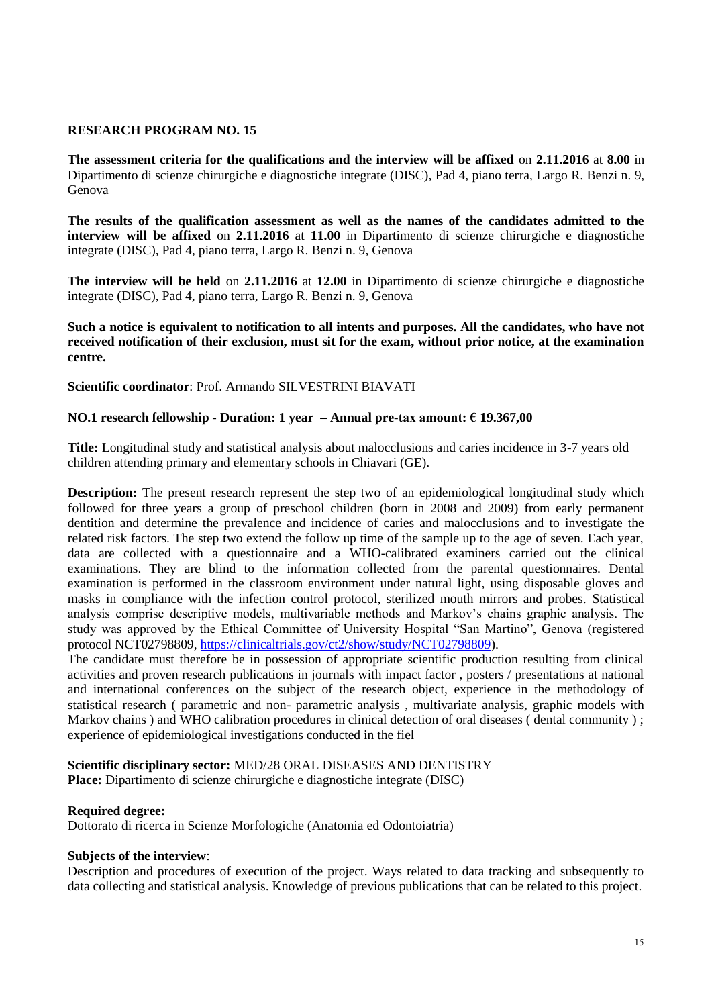**The assessment criteria for the qualifications and the interview will be affixed** on **2.11.2016** at **8.00** in Dipartimento di scienze chirurgiche e diagnostiche integrate (DISC), Pad 4, piano terra, Largo R. Benzi n. 9, Genova

**The results of the qualification assessment as well as the names of the candidates admitted to the interview will be affixed** on **2.11.2016** at **11.00** in Dipartimento di scienze chirurgiche e diagnostiche integrate (DISC), Pad 4, piano terra, Largo R. Benzi n. 9, Genova

**The interview will be held** on **2.11.2016** at **12.00** in Dipartimento di scienze chirurgiche e diagnostiche integrate (DISC), Pad 4, piano terra, Largo R. Benzi n. 9, Genova

**Such a notice is equivalent to notification to all intents and purposes. All the candidates, who have not received notification of their exclusion, must sit for the exam, without prior notice, at the examination centre.**

#### **Scientific coordinator**: Prof. Armando SILVESTRINI BIAVATI

### **NO.1 research fellowship - Duration: 1 year – Annual pre-tax amount: € 19.367,00**

**Title:** Longitudinal study and statistical analysis about malocclusions and caries incidence in 3-7 years old children attending primary and elementary schools in Chiavari (GE).

**Description:** The present research represent the step two of an epidemiological longitudinal study which followed for three years a group of preschool children (born in 2008 and 2009) from early permanent dentition and determine the prevalence and incidence of caries and malocclusions and to investigate the related risk factors. The step two extend the follow up time of the sample up to the age of seven. Each year, data are collected with a questionnaire and a WHO-calibrated examiners carried out the clinical examinations. They are blind to the information collected from the parental questionnaires. Dental examination is performed in the classroom environment under natural light, using disposable gloves and masks in compliance with the infection control protocol, sterilized mouth mirrors and probes. Statistical analysis comprise descriptive models, multivariable methods and Markov's chains graphic analysis. The study was approved by the Ethical Committee of University Hospital "San Martino", Genova (registered protocol NCT02798809, [https://clinicaltrials.gov/ct2/show/study/NCT02798809\)](https://clinicaltrials.gov/ct2/show/study/NCT02798809).

The candidate must therefore be in possession of appropriate scientific production resulting from clinical activities and proven research publications in journals with impact factor , posters / presentations at national and international conferences on the subject of the research object, experience in the methodology of statistical research ( parametric and non- parametric analysis , multivariate analysis, graphic models with Markov chains ) and WHO calibration procedures in clinical detection of oral diseases (dental community ) ; experience of epidemiological investigations conducted in the fiel

#### **Scientific disciplinary sector:** MED/28 ORAL DISEASES AND DENTISTRY

**Place:** Dipartimento di scienze chirurgiche e diagnostiche integrate (DISC)

#### **Required degree:**

Dottorato di ricerca in Scienze Morfologiche (Anatomia ed Odontoiatria)

#### **Subjects of the interview**:

Description and procedures of execution of the project. Ways related to data tracking and subsequently to data collecting and statistical analysis. Knowledge of previous publications that can be related to this project.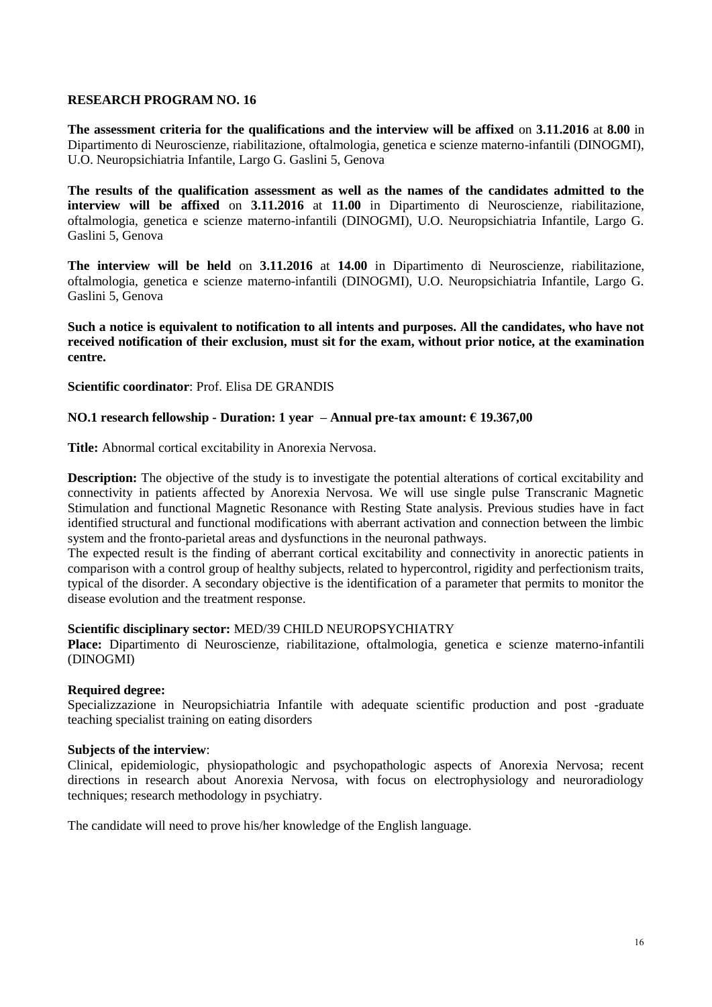**The assessment criteria for the qualifications and the interview will be affixed** on **3.11.2016** at **8.00** in Dipartimento di Neuroscienze, riabilitazione, oftalmologia, genetica e scienze materno-infantili (DINOGMI), U.O. Neuropsichiatria Infantile, Largo G. Gaslini 5, Genova

**The results of the qualification assessment as well as the names of the candidates admitted to the interview will be affixed** on **3.11.2016** at **11.00** in Dipartimento di Neuroscienze, riabilitazione, oftalmologia, genetica e scienze materno-infantili (DINOGMI), U.O. Neuropsichiatria Infantile, Largo G. Gaslini 5, Genova

**The interview will be held** on **3.11.2016** at **14.00** in Dipartimento di Neuroscienze, riabilitazione, oftalmologia, genetica e scienze materno-infantili (DINOGMI), U.O. Neuropsichiatria Infantile, Largo G. Gaslini 5, Genova

**Such a notice is equivalent to notification to all intents and purposes. All the candidates, who have not received notification of their exclusion, must sit for the exam, without prior notice, at the examination centre.**

#### **Scientific coordinator**: Prof. Elisa DE GRANDIS

### **NO.1 research fellowship - Duration: 1 year – Annual pre-tax amount: € 19.367,00**

**Title:** Abnormal cortical excitability in Anorexia Nervosa.

**Description:** The objective of the study is to investigate the potential alterations of cortical excitability and connectivity in patients affected by Anorexia Nervosa. We will use single pulse Transcranic Magnetic Stimulation and functional Magnetic Resonance with Resting State analysis. Previous studies have in fact identified structural and functional modifications with aberrant activation and connection between the limbic system and the fronto-parietal areas and dysfunctions in the neuronal pathways.

The expected result is the finding of aberrant cortical excitability and connectivity in anorectic patients in comparison with a control group of healthy subjects, related to hypercontrol, rigidity and perfectionism traits, typical of the disorder. A secondary objective is the identification of a parameter that permits to monitor the disease evolution and the treatment response.

### **Scientific disciplinary sector:** MED/39 CHILD NEUROPSYCHIATRY

**Place:** Dipartimento di Neuroscienze, riabilitazione, oftalmologia, genetica e scienze materno-infantili (DINOGMI)

#### **Required degree:**

Specializzazione in Neuropsichiatria Infantile with adequate scientific production and post -graduate teaching specialist training on eating disorders

#### **Subjects of the interview**:

Clinical, epidemiologic, physiopathologic and psychopathologic aspects of Anorexia Nervosa; recent directions in research about Anorexia Nervosa, with focus on electrophysiology and neuroradiology techniques; research methodology in psychiatry.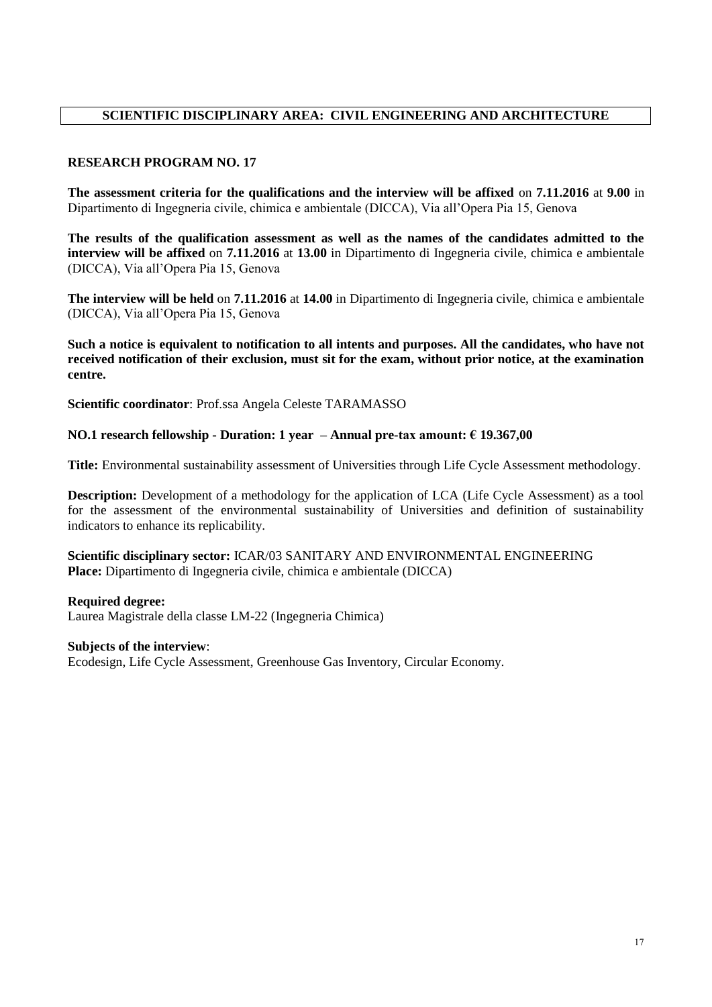# **SCIENTIFIC DISCIPLINARY AREA: CIVIL ENGINEERING AND ARCHITECTURE**

# **RESEARCH PROGRAM NO. 17**

**The assessment criteria for the qualifications and the interview will be affixed** on **7.11.2016** at **9.00** in Dipartimento di Ingegneria civile, chimica e ambientale (DICCA), Via all'Opera Pia 15, Genova

**The results of the qualification assessment as well as the names of the candidates admitted to the interview will be affixed** on **7.11.2016** at **13.00** in Dipartimento di Ingegneria civile, chimica e ambientale (DICCA), Via all'Opera Pia 15, Genova

**The interview will be held** on **7.11.2016** at **14.00** in Dipartimento di Ingegneria civile, chimica e ambientale (DICCA), Via all'Opera Pia 15, Genova

**Such a notice is equivalent to notification to all intents and purposes. All the candidates, who have not received notification of their exclusion, must sit for the exam, without prior notice, at the examination centre.**

**Scientific coordinator**: Prof.ssa Angela Celeste TARAMASSO

### **NO.1 research fellowship - Duration: 1 year – Annual pre-tax amount: € 19.367,00**

**Title:** Environmental sustainability assessment of Universities through Life Cycle Assessment methodology.

**Description:** Development of a methodology for the application of LCA (Life Cycle Assessment) as a tool for the assessment of the environmental sustainability of Universities and definition of sustainability indicators to enhance its replicability.

**Scientific disciplinary sector:** ICAR/03 SANITARY AND ENVIRONMENTAL ENGINEERING **Place:** Dipartimento di Ingegneria civile, chimica e ambientale (DICCA)

### **Required degree:**

Laurea Magistrale della classe LM-22 (Ingegneria Chimica)

#### **Subjects of the interview**:

Ecodesign, Life Cycle Assessment, Greenhouse Gas Inventory, Circular Economy.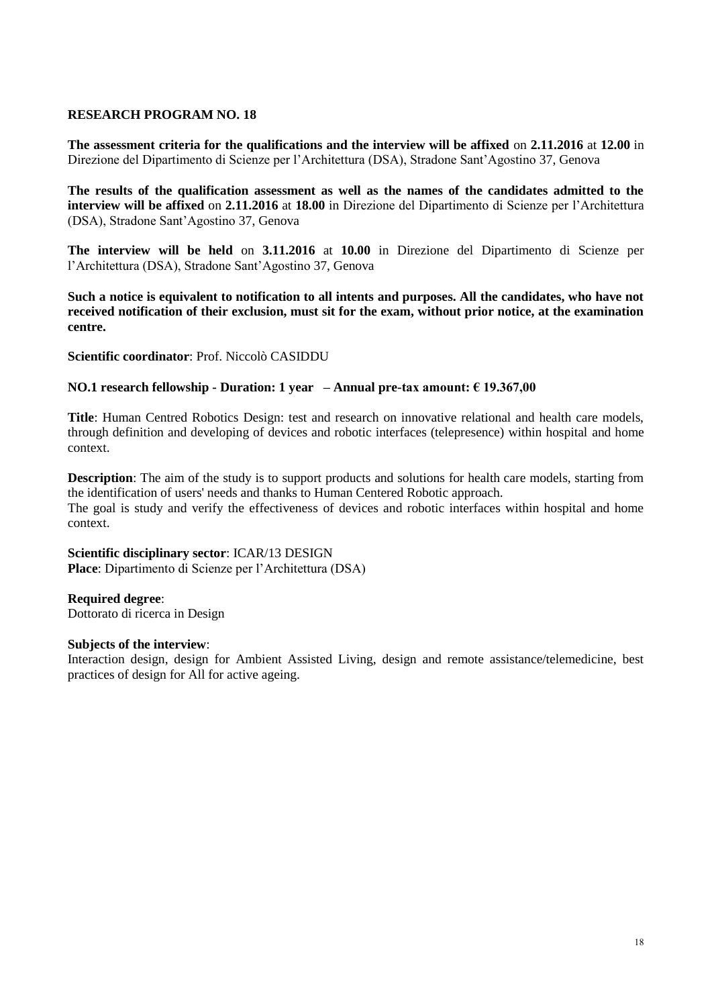**The assessment criteria for the qualifications and the interview will be affixed** on **2.11.2016** at **12.00** in Direzione del Dipartimento di Scienze per l'Architettura (DSA), Stradone Sant'Agostino 37, Genova

**The results of the qualification assessment as well as the names of the candidates admitted to the interview will be affixed** on **2.11.2016** at **18.00** in Direzione del Dipartimento di Scienze per l'Architettura (DSA), Stradone Sant'Agostino 37, Genova

**The interview will be held** on **3.11.2016** at **10.00** in Direzione del Dipartimento di Scienze per l'Architettura (DSA), Stradone Sant'Agostino 37, Genova

**Such a notice is equivalent to notification to all intents and purposes. All the candidates, who have not received notification of their exclusion, must sit for the exam, without prior notice, at the examination centre.**

**Scientific coordinator**: Prof. Niccolò CASIDDU

### **NO.1 research fellowship - Duration: 1 year – Annual pre-tax amount: € 19.367,00**

**Title**: Human Centred Robotics Design: test and research on innovative relational and health care models, through definition and developing of devices and robotic interfaces (telepresence) within hospital and home context.

**Description**: The aim of the study is to support products and solutions for health care models, starting from the identification of users' needs and thanks to Human Centered Robotic approach. The goal is study and verify the effectiveness of devices and robotic interfaces within hospital and home context.

**Scientific disciplinary sector**: ICAR/13 DESIGN **Place**: Dipartimento di Scienze per l'Architettura (DSA)

#### **Required degree**:

Dottorato di ricerca in Design

#### **Subjects of the interview**:

Interaction design, design for Ambient Assisted Living, design and remote assistance/telemedicine, best practices of design for All for active ageing.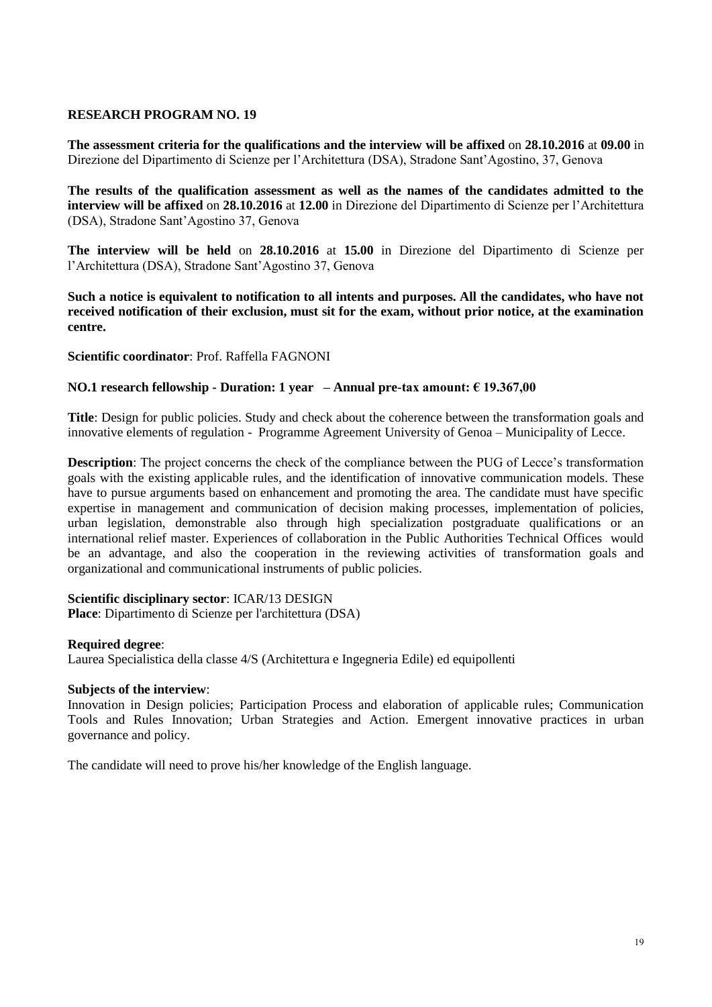**The assessment criteria for the qualifications and the interview will be affixed** on **28.10.2016** at **09.00** in Direzione del Dipartimento di Scienze per l'Architettura (DSA), Stradone Sant'Agostino, 37, Genova

**The results of the qualification assessment as well as the names of the candidates admitted to the interview will be affixed** on **28.10.2016** at **12.00** in Direzione del Dipartimento di Scienze per l'Architettura (DSA), Stradone Sant'Agostino 37, Genova

**The interview will be held** on **28.10.2016** at **15.00** in Direzione del Dipartimento di Scienze per l'Architettura (DSA), Stradone Sant'Agostino 37, Genova

**Such a notice is equivalent to notification to all intents and purposes. All the candidates, who have not received notification of their exclusion, must sit for the exam, without prior notice, at the examination centre.**

**Scientific coordinator**: Prof. Raffella FAGNONI

### **NO.1 research fellowship - Duration: 1 year – Annual pre-tax amount: € 19.367,00**

**Title**: Design for public policies. Study and check about the coherence between the transformation goals and innovative elements of regulation - Programme Agreement University of Genoa – Municipality of Lecce.

**Description**: The project concerns the check of the compliance between the PUG of Lecce's transformation goals with the existing applicable rules, and the identification of innovative communication models. These have to pursue arguments based on enhancement and promoting the area. The candidate must have specific expertise in management and communication of decision making processes, implementation of policies, urban legislation, demonstrable also through high specialization postgraduate qualifications or an international relief master. Experiences of collaboration in the Public Authorities Technical Offices would be an advantage, and also the cooperation in the reviewing activities of transformation goals and organizational and communicational instruments of public policies.

#### **Scientific disciplinary sector**: ICAR/13 DESIGN

**Place**: Dipartimento di Scienze per l'architettura (DSA)

#### **Required degree**:

Laurea Specialistica della classe 4/S (Architettura e Ingegneria Edile) ed equipollenti

#### **Subjects of the interview**:

Innovation in Design policies; Participation Process and elaboration of applicable rules; Communication Tools and Rules Innovation; Urban Strategies and Action. Emergent innovative practices in urban governance and policy.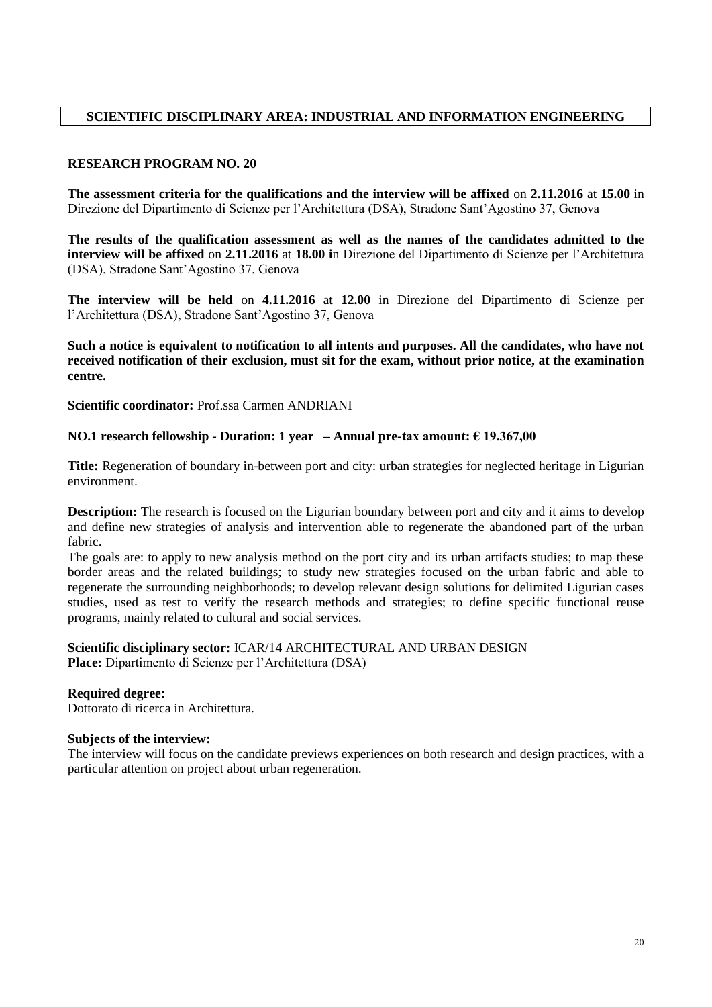# **SCIENTIFIC DISCIPLINARY AREA: INDUSTRIAL AND INFORMATION ENGINEERING**

### **RESEARCH PROGRAM NO. 20**

**The assessment criteria for the qualifications and the interview will be affixed** on **2.11.2016** at **15.00** in Direzione del Dipartimento di Scienze per l'Architettura (DSA), Stradone Sant'Agostino 37, Genova

**The results of the qualification assessment as well as the names of the candidates admitted to the interview will be affixed** on **2.11.2016** at **18.00 i**n Direzione del Dipartimento di Scienze per l'Architettura (DSA), Stradone Sant'Agostino 37, Genova

**The interview will be held** on **4.11.2016** at **12.00** in Direzione del Dipartimento di Scienze per l'Architettura (DSA), Stradone Sant'Agostino 37, Genova

**Such a notice is equivalent to notification to all intents and purposes. All the candidates, who have not received notification of their exclusion, must sit for the exam, without prior notice, at the examination centre.**

**Scientific coordinator:** Prof.ssa Carmen ANDRIANI

# **NO.1 research fellowship - Duration: 1 year – Annual pre-tax amount: € 19.367,00**

**Title:** Regeneration of boundary in-between port and city: urban strategies for neglected heritage in Ligurian environment.

**Description:** The research is focused on the Ligurian boundary between port and city and it aims to develop and define new strategies of analysis and intervention able to regenerate the abandoned part of the urban fabric.

The goals are: to apply to new analysis method on the port city and its urban artifacts studies; to map these border areas and the related buildings; to study new strategies focused on the urban fabric and able to regenerate the surrounding neighborhoods; to develop relevant design solutions for delimited Ligurian cases studies, used as test to verify the research methods and strategies; to define specific functional reuse programs, mainly related to cultural and social services.

**Scientific disciplinary sector:** ICAR/14 ARCHITECTURAL AND URBAN DESIGN **Place:** Dipartimento di Scienze per l'Architettura (DSA)

### **Required degree:**

Dottorato di ricerca in Architettura.

### **Subjects of the interview:**

The interview will focus on the candidate previews experiences on both research and design practices, with a particular attention on project about urban regeneration.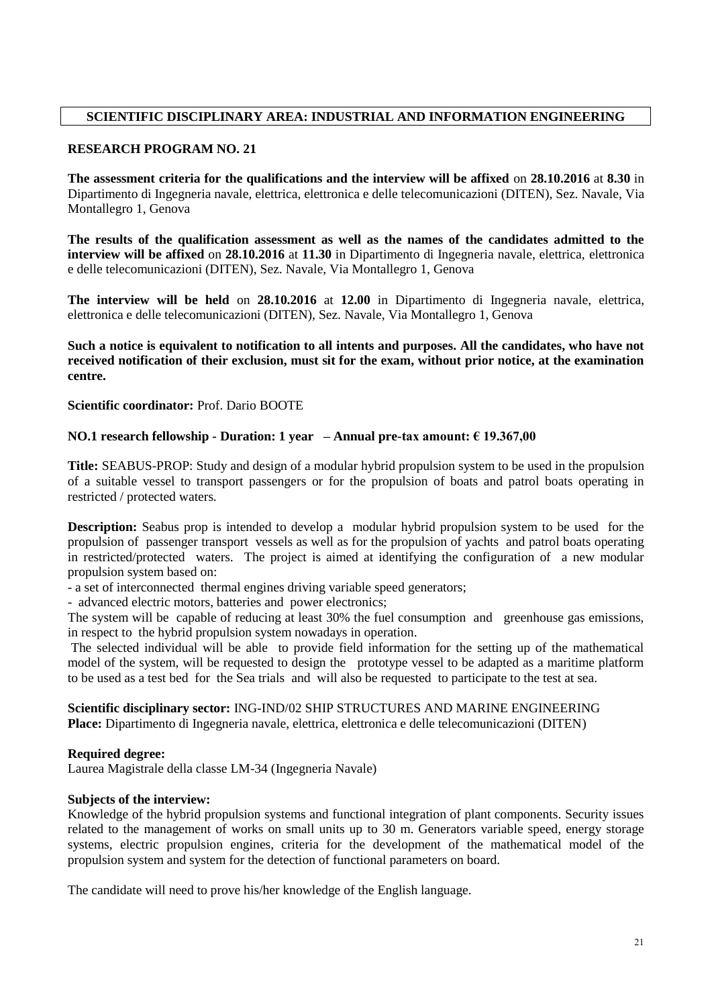# **SCIENTIFIC DISCIPLINARY AREA: INDUSTRIAL AND INFORMATION ENGINEERING**

### **RESEARCH PROGRAM NO. 21**

**The assessment criteria for the qualifications and the interview will be affixed** on **28.10.2016** at **8.30** in Dipartimento di Ingegneria navale, elettrica, elettronica e delle telecomunicazioni (DITEN), Sez. Navale, Via Montallegro 1, Genova

**The results of the qualification assessment as well as the names of the candidates admitted to the interview will be affixed** on **28.10.2016** at **11.30** in Dipartimento di Ingegneria navale, elettrica, elettronica e delle telecomunicazioni (DITEN), Sez. Navale, Via Montallegro 1, Genova

**The interview will be held** on **28.10.2016** at **12.00** in Dipartimento di Ingegneria navale, elettrica, elettronica e delle telecomunicazioni (DITEN), Sez. Navale, Via Montallegro 1, Genova

**Such a notice is equivalent to notification to all intents and purposes. All the candidates, who have not received notification of their exclusion, must sit for the exam, without prior notice, at the examination centre.**

**Scientific coordinator:** Prof. Dario BOOTE

# **NO.1 research fellowship - Duration: 1 year – Annual pre-tax amount: € 19.367,00**

**Title:** SEABUS-PROP: Study and design of a modular hybrid propulsion system to be used in the propulsion of a suitable vessel to transport passengers or for the propulsion of boats and patrol boats operating in restricted / protected waters.

**Description:** Seabus prop is intended to develop a modular hybrid propulsion system to be used for the propulsion of passenger transport vessels as well as for the propulsion of yachts and patrol boats operating in restricted/protected waters. The project is aimed at identifying the configuration of a new modular propulsion system based on:

- a set of interconnected thermal engines driving variable speed generators;

- advanced electric motors, batteries and power electronics;

The system will be capable of reducing at least 30% the fuel consumption and greenhouse gas emissions, in respect to the hybrid propulsion system nowadays in operation.

The selected individual will be able to provide field information for the setting up of the mathematical model of the system, will be requested to design the prototype vessel to be adapted as a maritime platform to be used as a test bed for the Sea trials and will also be requested to participate to the test at sea.

### **Scientific disciplinary sector:** ING-IND/02 SHIP STRUCTURES AND MARINE ENGINEERING **Place:** Dipartimento di Ingegneria navale, elettrica, elettronica e delle telecomunicazioni (DITEN)

### **Required degree:**

Laurea Magistrale della classe LM-34 (Ingegneria Navale)

### **Subjects of the interview:**

Knowledge of the hybrid propulsion systems and functional integration of plant components. Security issues related to the management of works on small units up to 30 m. Generators variable speed, energy storage systems, electric propulsion engines, criteria for the development of the mathematical model of the propulsion system and system for the detection of functional parameters on board.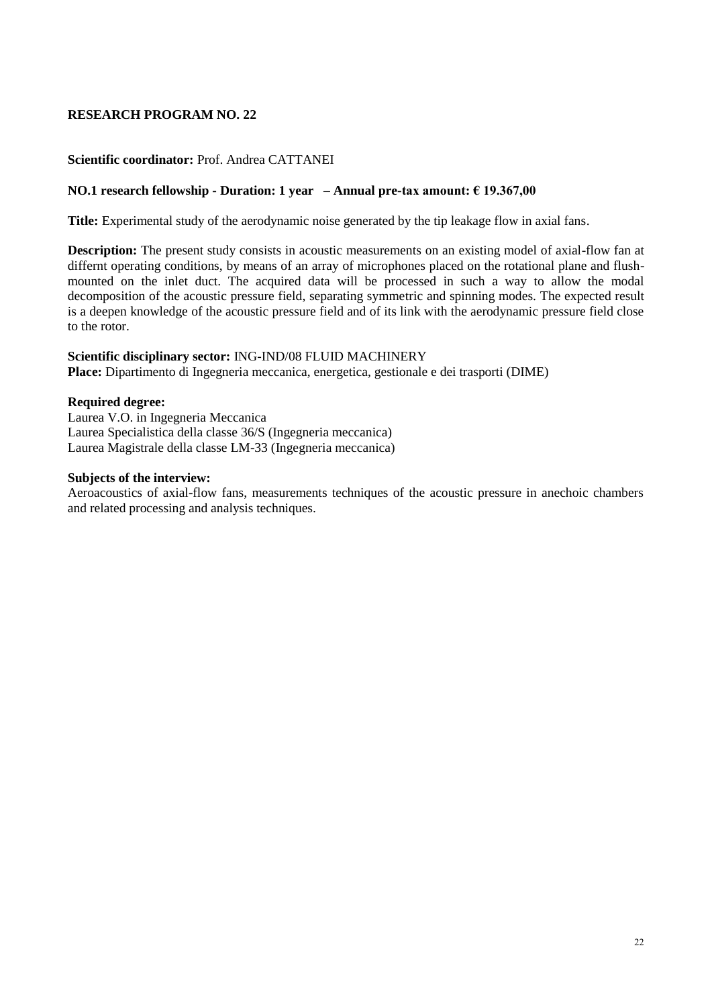### **Scientific coordinator:** Prof. Andrea CATTANEI

### **NO.1 research fellowship - Duration: 1 year – Annual pre-tax amount: € 19.367,00**

**Title:** Experimental study of the aerodynamic noise generated by the tip leakage flow in axial fans.

**Description:** The present study consists in acoustic measurements on an existing model of axial-flow fan at differnt operating conditions, by means of an array of microphones placed on the rotational plane and flushmounted on the inlet duct. The acquired data will be processed in such a way to allow the modal decomposition of the acoustic pressure field, separating symmetric and spinning modes. The expected result is a deepen knowledge of the acoustic pressure field and of its link with the aerodynamic pressure field close to the rotor.

### **Scientific disciplinary sector:** ING-IND/08 FLUID MACHINERY

**Place:** Dipartimento di Ingegneria meccanica, energetica, gestionale e dei trasporti (DIME)

### **Required degree:**

Laurea V.O. in Ingegneria Meccanica Laurea Specialistica della classe 36/S (Ingegneria meccanica) Laurea Magistrale della classe LM-33 (Ingegneria meccanica)

### **Subjects of the interview:**

Aeroacoustics of axial-flow fans, measurements techniques of the acoustic pressure in anechoic chambers and related processing and analysis techniques.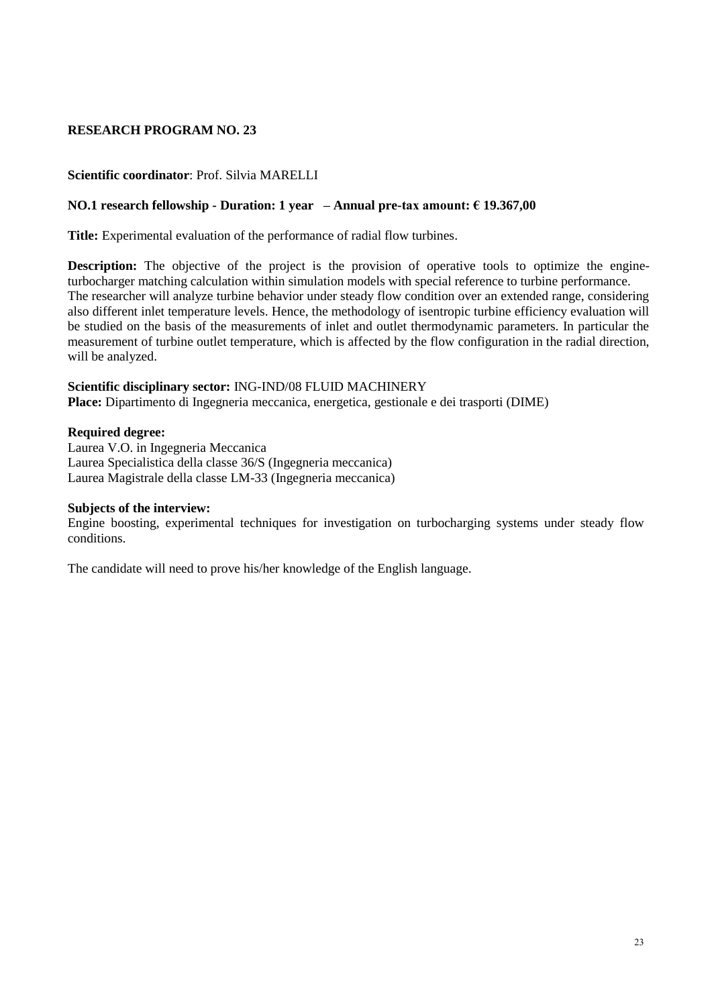# **Scientific coordinator**: Prof. Silvia MARELLI

### **NO.1 research fellowship - Duration: 1 year – Annual pre-tax amount: € 19.367,00**

**Title:** Experimental evaluation of the performance of radial flow turbines.

**Description:** The objective of the project is the provision of operative tools to optimize the engineturbocharger matching calculation within simulation models with special reference to turbine performance. The researcher will analyze turbine behavior under steady flow condition over an extended range, considering also different inlet temperature levels. Hence, the methodology of isentropic turbine efficiency evaluation will be studied on the basis of the measurements of inlet and outlet thermodynamic parameters. In particular the measurement of turbine outlet temperature, which is affected by the flow configuration in the radial direction, will be analyzed.

#### **Scientific disciplinary sector:** ING-IND/08 FLUID MACHINERY **Place:** Dipartimento di Ingegneria meccanica, energetica, gestionale e dei trasporti (DIME)

#### **Required degree:**

Laurea V.O. in Ingegneria Meccanica Laurea Specialistica della classe 36/S (Ingegneria meccanica) Laurea Magistrale della classe LM-33 (Ingegneria meccanica)

#### **Subjects of the interview:**

Engine boosting, experimental techniques for investigation on turbocharging systems under steady flow conditions.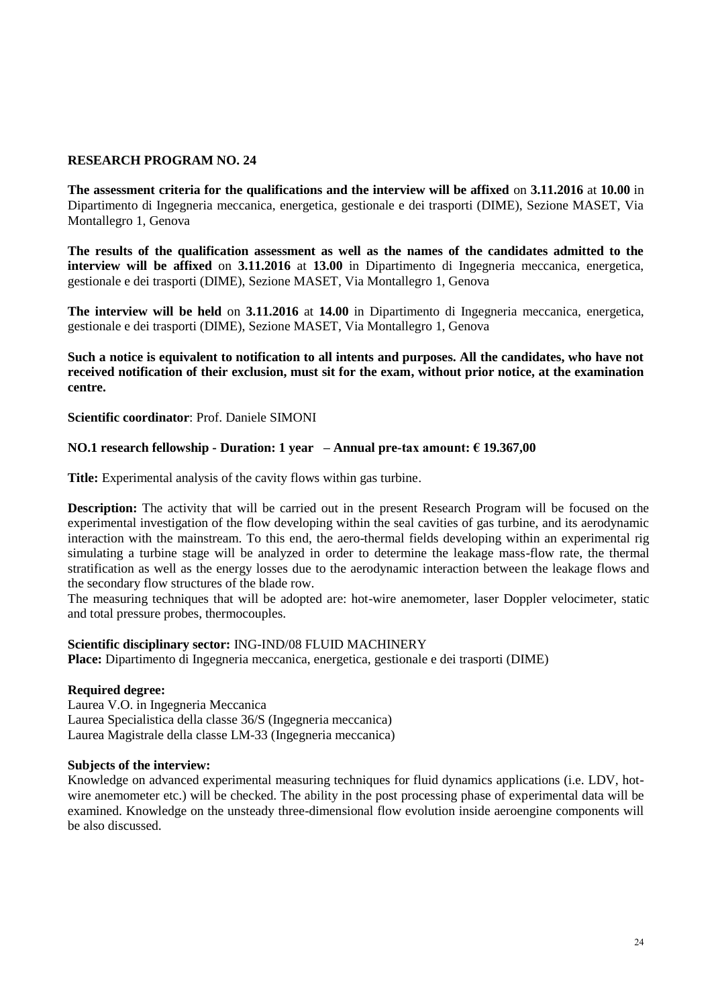**The assessment criteria for the qualifications and the interview will be affixed** on **3.11.2016** at **10.00** in Dipartimento di Ingegneria meccanica, energetica, gestionale e dei trasporti (DIME), Sezione MASET, Via Montallegro 1, Genova

**The results of the qualification assessment as well as the names of the candidates admitted to the interview will be affixed** on **3.11.2016** at **13.00** in Dipartimento di Ingegneria meccanica, energetica, gestionale e dei trasporti (DIME), Sezione MASET, Via Montallegro 1, Genova

**The interview will be held** on **3.11.2016** at **14.00** in Dipartimento di Ingegneria meccanica, energetica, gestionale e dei trasporti (DIME), Sezione MASET, Via Montallegro 1, Genova

**Such a notice is equivalent to notification to all intents and purposes. All the candidates, who have not received notification of their exclusion, must sit for the exam, without prior notice, at the examination centre.**

**Scientific coordinator**: Prof. Daniele SIMONI

### **NO.1 research fellowship - Duration: 1 year – Annual pre-tax amount: € 19.367,00**

**Title:** Experimental analysis of the cavity flows within gas turbine.

**Description:** The activity that will be carried out in the present Research Program will be focused on the experimental investigation of the flow developing within the seal cavities of gas turbine, and its aerodynamic interaction with the mainstream. To this end, the aero-thermal fields developing within an experimental rig simulating a turbine stage will be analyzed in order to determine the leakage mass-flow rate, the thermal stratification as well as the energy losses due to the aerodynamic interaction between the leakage flows and the secondary flow structures of the blade row.

The measuring techniques that will be adopted are: hot-wire anemometer, laser Doppler velocimeter, static and total pressure probes, thermocouples.

#### **Scientific disciplinary sector:** ING-IND/08 FLUID MACHINERY

**Place:** Dipartimento di Ingegneria meccanica, energetica, gestionale e dei trasporti (DIME)

#### **Required degree:**

Laurea V.O. in Ingegneria Meccanica Laurea Specialistica della classe 36/S (Ingegneria meccanica) Laurea Magistrale della classe LM-33 (Ingegneria meccanica)

#### **Subjects of the interview:**

Knowledge on advanced experimental measuring techniques for fluid dynamics applications (i.e. LDV, hotwire anemometer etc.) will be checked. The ability in the post processing phase of experimental data will be examined. Knowledge on the unsteady three-dimensional flow evolution inside aeroengine components will be also discussed.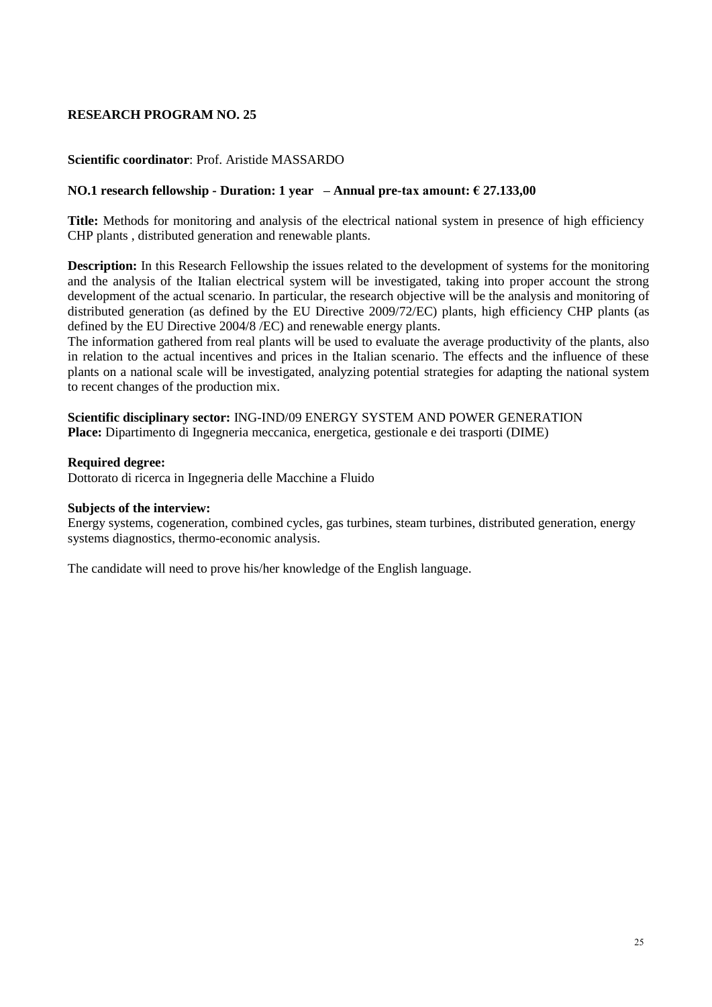### **Scientific coordinator**: Prof. Aristide MASSARDO

### **NO.1 research fellowship - Duration: 1 year – Annual pre-tax amount: € 27.133,00**

**Title:** Methods for monitoring and analysis of the electrical national system in presence of high efficiency CHP plants , distributed generation and renewable plants.

**Description:** In this Research Fellowship the issues related to the development of systems for the monitoring and the analysis of the Italian electrical system will be investigated, taking into proper account the strong development of the actual scenario. In particular, the research objective will be the analysis and monitoring of distributed generation (as defined by the EU Directive 2009/72/EC) plants, high efficiency CHP plants (as defined by the EU Directive 2004/8 /EC) and renewable energy plants.

The information gathered from real plants will be used to evaluate the average productivity of the plants, also in relation to the actual incentives and prices in the Italian scenario. The effects and the influence of these plants on a national scale will be investigated, analyzing potential strategies for adapting the national system to recent changes of the production mix.

**Scientific disciplinary sector:** ING-IND/09 ENERGY SYSTEM AND POWER GENERATION **Place:** Dipartimento di Ingegneria meccanica, energetica, gestionale e dei trasporti (DIME)

#### **Required degree:**

Dottorato di ricerca in Ingegneria delle Macchine a Fluido

#### **Subjects of the interview:**

Energy systems, cogeneration, combined cycles, gas turbines, steam turbines, distributed generation, energy systems diagnostics, thermo-economic analysis.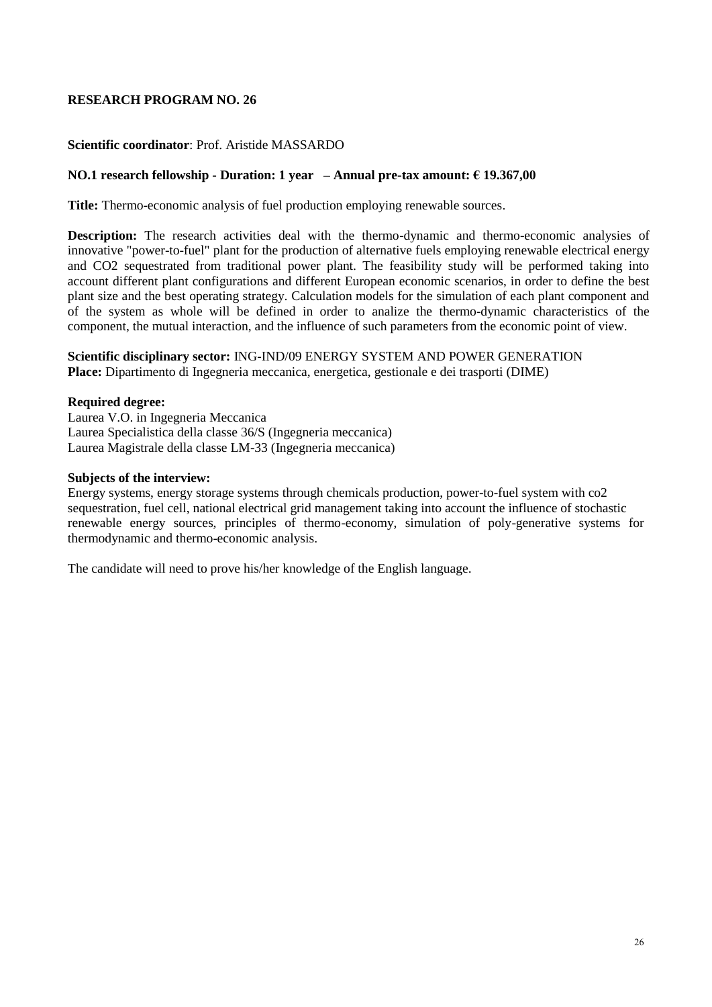### **Scientific coordinator**: Prof. Aristide MASSARDO

### **NO.1 research fellowship - Duration: 1 year – Annual pre-tax amount: € 19.367,00**

**Title:** Thermo-economic analysis of fuel production employing renewable sources.

**Description:** The research activities deal with the thermo-dynamic and thermo-economic analysies of innovative "power-to-fuel" plant for the production of alternative fuels employing renewable electrical energy and CO2 sequestrated from traditional power plant. The feasibility study will be performed taking into account different plant configurations and different European economic scenarios, in order to define the best plant size and the best operating strategy. Calculation models for the simulation of each plant component and of the system as whole will be defined in order to analize the thermo-dynamic characteristics of the component, the mutual interaction, and the influence of such parameters from the economic point of view.

### **Scientific disciplinary sector:** ING-IND/09 ENERGY SYSTEM AND POWER GENERATION **Place:** Dipartimento di Ingegneria meccanica, energetica, gestionale e dei trasporti (DIME)

#### **Required degree:**

Laurea V.O. in Ingegneria Meccanica Laurea Specialistica della classe 36/S (Ingegneria meccanica) Laurea Magistrale della classe LM-33 (Ingegneria meccanica)

### **Subjects of the interview:**

Energy systems, energy storage systems through chemicals production, power-to-fuel system with co2 sequestration, fuel cell, national electrical grid management taking into account the influence of stochastic renewable energy sources, principles of thermo-economy, simulation of poly-generative systems for thermodynamic and thermo-economic analysis.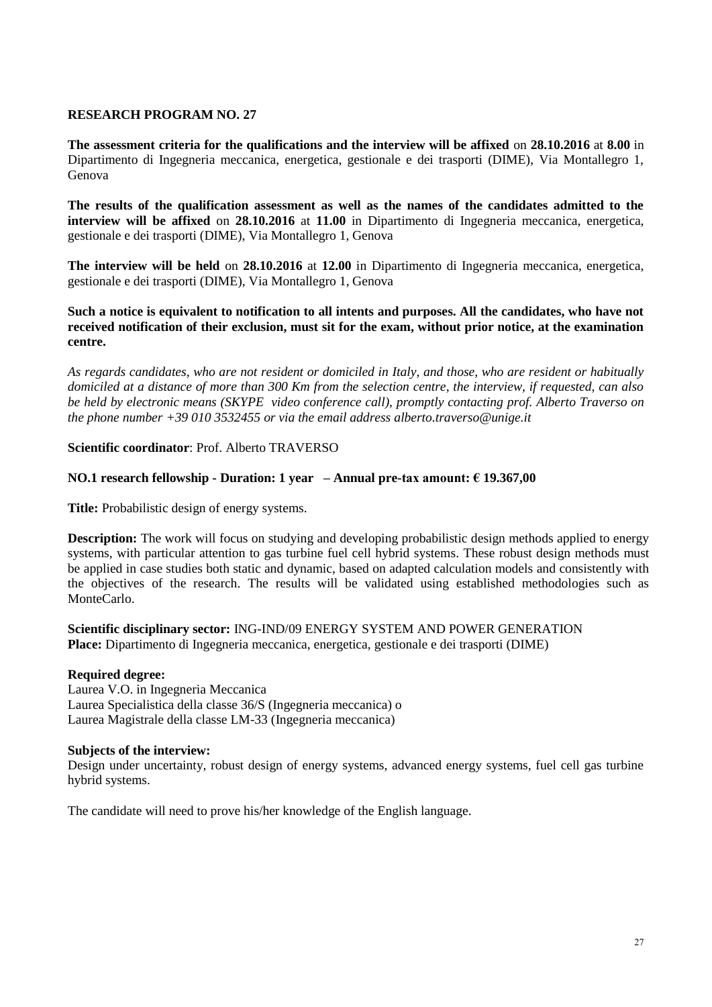**The assessment criteria for the qualifications and the interview will be affixed** on **28.10.2016** at **8.00** in Dipartimento di Ingegneria meccanica, energetica, gestionale e dei trasporti (DIME), Via Montallegro 1, Genova

**The results of the qualification assessment as well as the names of the candidates admitted to the interview will be affixed** on **28.10.2016** at **11.00** in Dipartimento di Ingegneria meccanica, energetica, gestionale e dei trasporti (DIME), Via Montallegro 1, Genova

**The interview will be held** on **28.10.2016** at **12.00** in Dipartimento di Ingegneria meccanica, energetica, gestionale e dei trasporti (DIME), Via Montallegro 1, Genova

### **Such a notice is equivalent to notification to all intents and purposes. All the candidates, who have not received notification of their exclusion, must sit for the exam, without prior notice, at the examination centre.**

*As regards candidates, who are not resident or domiciled in Italy, and those, who are resident or habitually domiciled at a distance of more than 300 Km from the selection centre, the interview, if requested, can also be held by electronic means (SKYPE video conference call), promptly contacting prof. Alberto Traverso on the phone number +39 010 3532455 or via the email address alberto.traverso@unige.it*

# **Scientific coordinator**: Prof. Alberto TRAVERSO

# **NO.1 research fellowship - Duration: 1 year – Annual pre-tax amount: € 19.367,00**

**Title:** Probabilistic design of energy systems.

**Description:** The work will focus on studying and developing probabilistic design methods applied to energy systems, with particular attention to gas turbine fuel cell hybrid systems. These robust design methods must be applied in case studies both static and dynamic, based on adapted calculation models and consistently with the objectives of the research. The results will be validated using established methodologies such as MonteCarlo.

**Scientific disciplinary sector:** ING-IND/09 ENERGY SYSTEM AND POWER GENERATION **Place:** Dipartimento di Ingegneria meccanica, energetica, gestionale e dei trasporti (DIME)

### **Required degree:**

Laurea V.O. in Ingegneria Meccanica Laurea Specialistica della classe 36/S (Ingegneria meccanica) o Laurea Magistrale della classe LM-33 (Ingegneria meccanica)

### **Subjects of the interview:**

Design under uncertainty, robust design of energy systems, advanced energy systems, fuel cell gas turbine hybrid systems.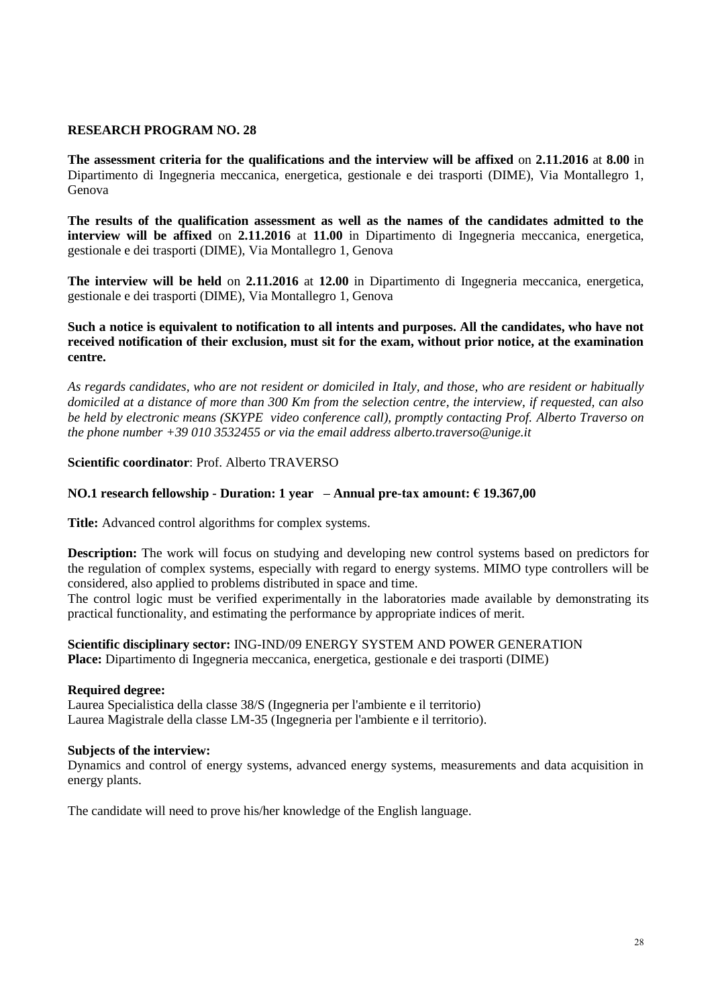**The assessment criteria for the qualifications and the interview will be affixed** on **2.11.2016** at **8.00** in Dipartimento di Ingegneria meccanica, energetica, gestionale e dei trasporti (DIME), Via Montallegro 1, Genova

**The results of the qualification assessment as well as the names of the candidates admitted to the interview will be affixed** on **2.11.2016** at **11.00** in Dipartimento di Ingegneria meccanica, energetica, gestionale e dei trasporti (DIME), Via Montallegro 1, Genova

**The interview will be held** on **2.11.2016** at **12.00** in Dipartimento di Ingegneria meccanica, energetica, gestionale e dei trasporti (DIME), Via Montallegro 1, Genova

### **Such a notice is equivalent to notification to all intents and purposes. All the candidates, who have not received notification of their exclusion, must sit for the exam, without prior notice, at the examination centre.**

*As regards candidates, who are not resident or domiciled in Italy, and those, who are resident or habitually domiciled at a distance of more than 300 Km from the selection centre, the interview, if requested, can also be held by electronic means (SKYPE video conference call), promptly contacting Prof. Alberto Traverso on the phone number +39 010 3532455 or via the email address alberto.traverso@unige.it*

### **Scientific coordinator**: Prof. Alberto TRAVERSO

#### **NO.1 research fellowship - Duration: 1 year – Annual pre-tax amount: € 19.367,00**

**Title:** Advanced control algorithms for complex systems.

**Description:** The work will focus on studying and developing new control systems based on predictors for the regulation of complex systems, especially with regard to energy systems. MIMO type controllers will be considered, also applied to problems distributed in space and time.

The control logic must be verified experimentally in the laboratories made available by demonstrating its practical functionality, and estimating the performance by appropriate indices of merit.

### **Scientific disciplinary sector:** ING-IND/09 ENERGY SYSTEM AND POWER GENERATION **Place:** Dipartimento di Ingegneria meccanica, energetica, gestionale e dei trasporti (DIME)

#### **Required degree:**

Laurea Specialistica della classe 38/S (Ingegneria per l'ambiente e il territorio) Laurea Magistrale della classe LM-35 (Ingegneria per l'ambiente e il territorio).

#### **Subjects of the interview:**

Dynamics and control of energy systems, advanced energy systems, measurements and data acquisition in energy plants.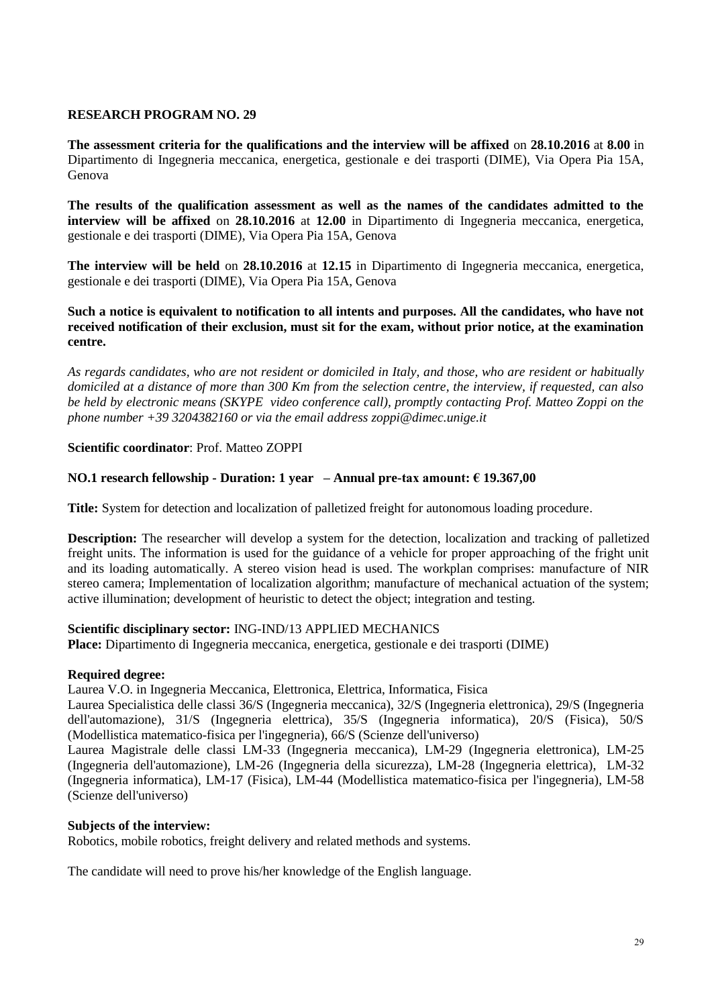**The assessment criteria for the qualifications and the interview will be affixed** on **28.10.2016** at **8.00** in Dipartimento di Ingegneria meccanica, energetica, gestionale e dei trasporti (DIME), Via Opera Pia 15A, Genova

**The results of the qualification assessment as well as the names of the candidates admitted to the interview will be affixed** on **28.10.2016** at **12.00** in Dipartimento di Ingegneria meccanica, energetica, gestionale e dei trasporti (DIME), Via Opera Pia 15A, Genova

**The interview will be held** on **28.10.2016** at **12.15** in Dipartimento di Ingegneria meccanica, energetica, gestionale e dei trasporti (DIME), Via Opera Pia 15A, Genova

### **Such a notice is equivalent to notification to all intents and purposes. All the candidates, who have not received notification of their exclusion, must sit for the exam, without prior notice, at the examination centre.**

*As regards candidates, who are not resident or domiciled in Italy, and those, who are resident or habitually domiciled at a distance of more than 300 Km from the selection centre, the interview, if requested, can also be held by electronic means (SKYPE video conference call), promptly contacting Prof. Matteo Zoppi on the phone number +39 3204382160 or via the email address zoppi@dimec.unige.it*

# **Scientific coordinator**: Prof. Matteo ZOPPI

# **NO.1 research fellowship - Duration: 1 year – Annual pre-tax amount: € 19.367,00**

**Title:** System for detection and localization of palletized freight for autonomous loading procedure.

**Description:** The researcher will develop a system for the detection, localization and tracking of palletized freight units. The information is used for the guidance of a vehicle for proper approaching of the fright unit and its loading automatically. A stereo vision head is used. The workplan comprises: manufacture of NIR stereo camera; Implementation of localization algorithm; manufacture of mechanical actuation of the system; active illumination; development of heuristic to detect the object; integration and testing.

# **Scientific disciplinary sector:** ING-IND/13 APPLIED MECHANICS

**Place:** Dipartimento di Ingegneria meccanica, energetica, gestionale e dei trasporti (DIME)

### **Required degree:**

Laurea V.O. in Ingegneria Meccanica, Elettronica, Elettrica, Informatica, Fisica

Laurea Specialistica delle classi 36/S (Ingegneria meccanica), 32/S (Ingegneria elettronica), 29/S (Ingegneria dell'automazione), 31/S (Ingegneria elettrica), 35/S (Ingegneria informatica), 20/S (Fisica), 50/S (Modellistica matematico-fisica per l'ingegneria), 66/S (Scienze dell'universo)

Laurea Magistrale delle classi LM-33 (Ingegneria meccanica), LM-29 (Ingegneria elettronica), LM-25 (Ingegneria dell'automazione), LM-26 (Ingegneria della sicurezza), LM-28 (Ingegneria elettrica), LM-32 (Ingegneria informatica), LM-17 (Fisica), LM-44 (Modellistica matematico-fisica per l'ingegneria), LM-58 (Scienze dell'universo)

### **Subjects of the interview:**

Robotics, mobile robotics, freight delivery and related methods and systems.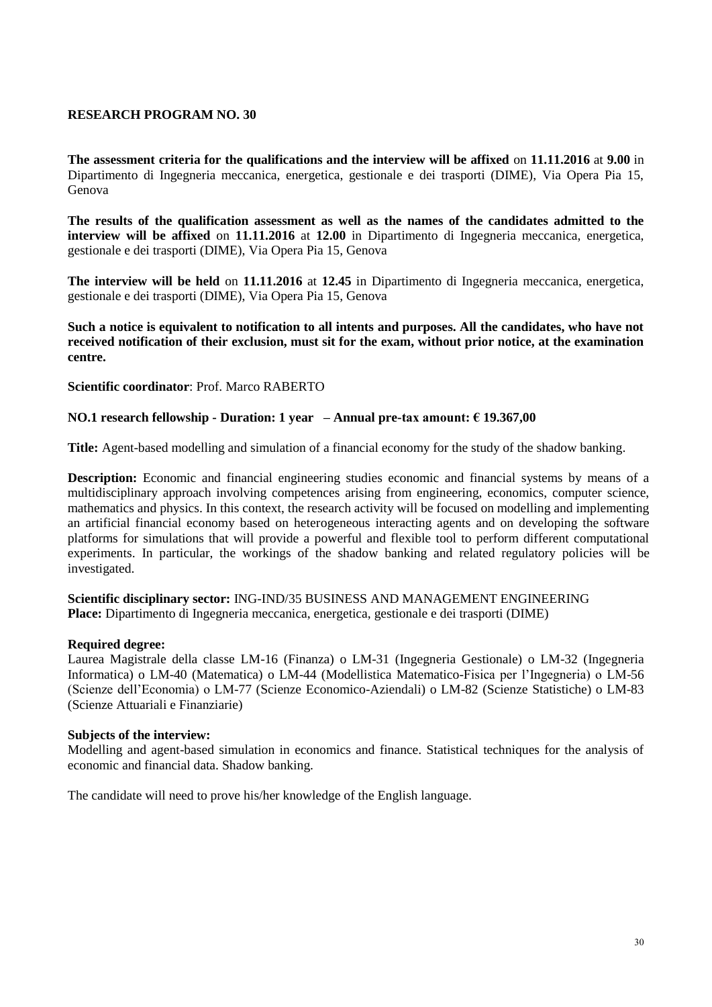**The assessment criteria for the qualifications and the interview will be affixed** on **11.11.2016** at **9.00** in Dipartimento di Ingegneria meccanica, energetica, gestionale e dei trasporti (DIME), Via Opera Pia 15, Genova

**The results of the qualification assessment as well as the names of the candidates admitted to the interview will be affixed** on **11.11.2016** at **12.00** in Dipartimento di Ingegneria meccanica, energetica, gestionale e dei trasporti (DIME), Via Opera Pia 15, Genova

**The interview will be held** on **11.11.2016** at **12.45** in Dipartimento di Ingegneria meccanica, energetica, gestionale e dei trasporti (DIME), Via Opera Pia 15, Genova

**Such a notice is equivalent to notification to all intents and purposes. All the candidates, who have not received notification of their exclusion, must sit for the exam, without prior notice, at the examination centre.**

**Scientific coordinator**: Prof. Marco RABERTO

### **NO.1 research fellowship - Duration: 1 year – Annual pre-tax amount: € 19.367,00**

**Title:** Agent-based modelling and simulation of a financial economy for the study of the shadow banking.

**Description:** Economic and financial engineering studies economic and financial systems by means of a multidisciplinary approach involving competences arising from engineering, economics, computer science, mathematics and physics. In this context, the research activity will be focused on modelling and implementing an artificial financial economy based on heterogeneous interacting agents and on developing the software platforms for simulations that will provide a powerful and flexible tool to perform different computational experiments. In particular, the workings of the shadow banking and related regulatory policies will be investigated.

**Scientific disciplinary sector:** ING-IND/35 BUSINESS AND MANAGEMENT ENGINEERING **Place:** Dipartimento di Ingegneria meccanica, energetica, gestionale e dei trasporti (DIME)

#### **Required degree:**

Laurea Magistrale della classe LM-16 (Finanza) o LM-31 (Ingegneria Gestionale) o LM-32 (Ingegneria Informatica) o LM-40 (Matematica) o LM-44 (Modellistica Matematico-Fisica per l'Ingegneria) o LM-56 (Scienze dell'Economia) o LM-77 (Scienze Economico-Aziendali) o LM-82 (Scienze Statistiche) o LM-83 (Scienze Attuariali e Finanziarie)

#### **Subjects of the interview:**

Modelling and agent-based simulation in economics and finance. Statistical techniques for the analysis of economic and financial data. Shadow banking.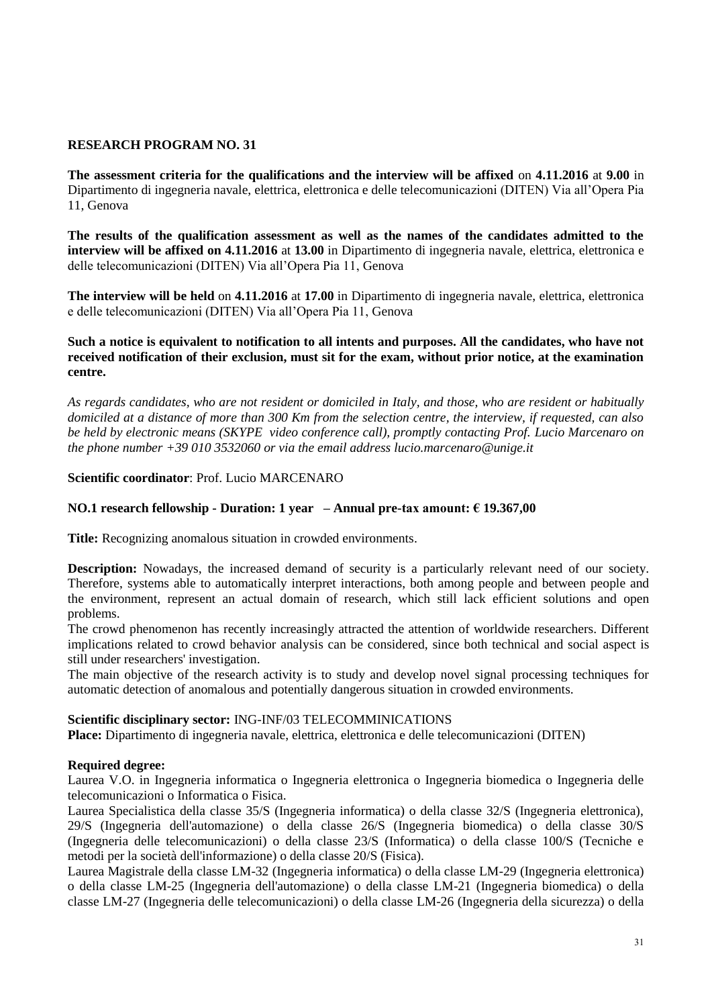**The assessment criteria for the qualifications and the interview will be affixed** on **4.11.2016** at **9.00** in Dipartimento di ingegneria navale, elettrica, elettronica e delle telecomunicazioni (DITEN) Via all'Opera Pia 11, Genova

**The results of the qualification assessment as well as the names of the candidates admitted to the interview will be affixed on 4.11.2016** at **13.00** in Dipartimento di ingegneria navale, elettrica, elettronica e delle telecomunicazioni (DITEN) Via all'Opera Pia 11, Genova

**The interview will be held** on **4.11.2016** at **17.00** in Dipartimento di ingegneria navale, elettrica, elettronica e delle telecomunicazioni (DITEN) Via all'Opera Pia 11, Genova

### **Such a notice is equivalent to notification to all intents and purposes. All the candidates, who have not received notification of their exclusion, must sit for the exam, without prior notice, at the examination centre.**

*As regards candidates, who are not resident or domiciled in Italy, and those, who are resident or habitually domiciled at a distance of more than 300 Km from the selection centre, the interview, if requested, can also be held by electronic means (SKYPE video conference call), promptly contacting Prof. Lucio Marcenaro on the phone number +39 010 3532060 or via the email address lucio.marcenaro@unige.it*

# **Scientific coordinator**: Prof. Lucio MARCENARO

# **NO.1 research fellowship - Duration: 1 year – Annual pre-tax amount: € 19.367,00**

**Title:** Recognizing anomalous situation in crowded environments.

**Description:** Nowadays, the increased demand of security is a particularly relevant need of our society. Therefore, systems able to automatically interpret interactions, both among people and between people and the environment, represent an actual domain of research, which still lack efficient solutions and open problems.

The crowd phenomenon has recently increasingly attracted the attention of worldwide researchers. Different implications related to crowd behavior analysis can be considered, since both technical and social aspect is still under researchers' investigation.

The main objective of the research activity is to study and develop novel signal processing techniques for automatic detection of anomalous and potentially dangerous situation in crowded environments.

### **Scientific disciplinary sector:** ING-INF/03 TELECOMMINICATIONS

**Place:** Dipartimento di ingegneria navale, elettrica, elettronica e delle telecomunicazioni (DITEN)

### **Required degree:**

Laurea V.O. in Ingegneria informatica o Ingegneria elettronica o Ingegneria biomedica o Ingegneria delle telecomunicazioni o Informatica o Fisica.

Laurea Specialistica della classe 35/S (Ingegneria informatica) o della classe 32/S (Ingegneria elettronica), 29/S (Ingegneria dell'automazione) o della classe 26/S (Ingegneria biomedica) o della classe 30/S (Ingegneria delle telecomunicazioni) o della classe 23/S (Informatica) o della classe 100/S (Tecniche e metodi per la società dell'informazione) o della classe 20/S (Fisica).

Laurea Magistrale della classe LM-32 (Ingegneria informatica) o della classe LM-29 (Ingegneria elettronica) o della classe LM-25 (Ingegneria dell'automazione) o della classe LM-21 (Ingegneria biomedica) o della classe LM-27 (Ingegneria delle telecomunicazioni) o della classe LM-26 (Ingegneria della sicurezza) o della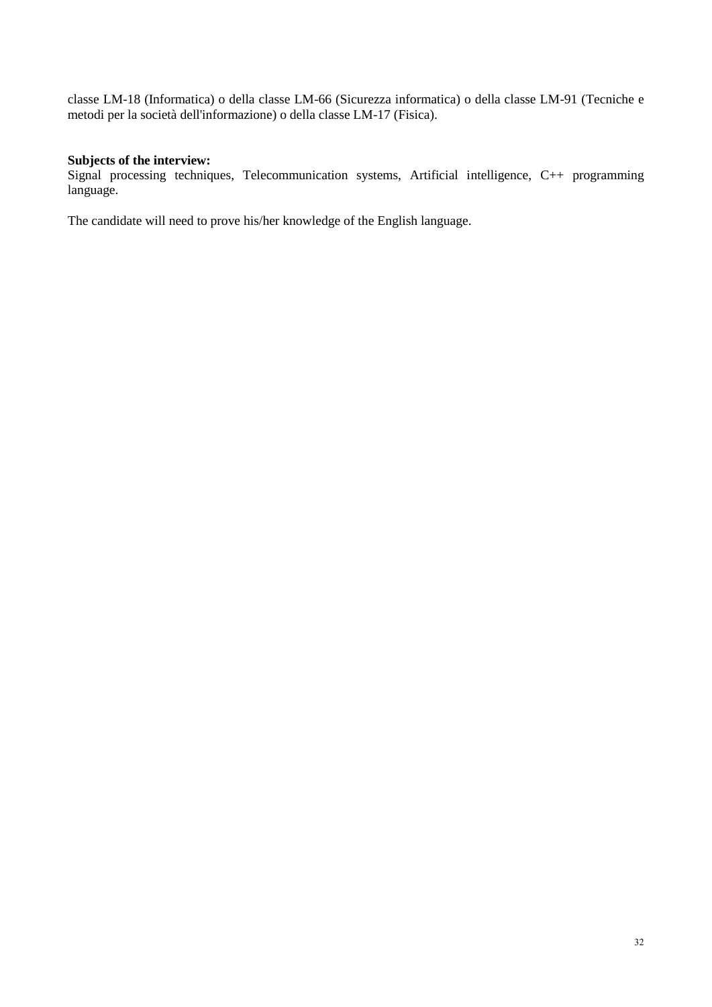classe LM-18 (Informatica) o della classe LM-66 (Sicurezza informatica) o della classe LM-91 (Tecniche e metodi per la società dell'informazione) o della classe LM-17 (Fisica).

# **Subjects of the interview:**

Signal processing techniques, Telecommunication systems, Artificial intelligence, C++ programming language.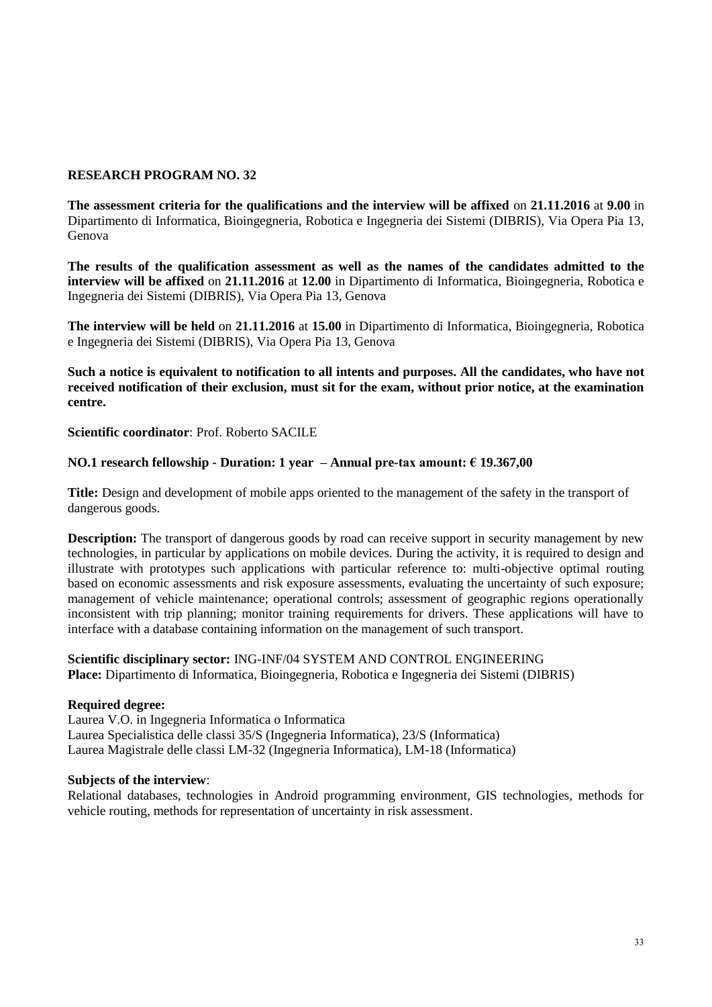**The assessment criteria for the qualifications and the interview will be affixed** on **21.11.2016** at **9.00** in Dipartimento di Informatica, Bioingegneria, Robotica e Ingegneria dei Sistemi (DIBRIS), Via Opera Pia 13, Genova

**The results of the qualification assessment as well as the names of the candidates admitted to the interview will be affixed** on **21.11.2016** at **12.00** in Dipartimento di Informatica, Bioingegneria, Robotica e Ingegneria dei Sistemi (DIBRIS), Via Opera Pia 13, Genova

**The interview will be held** on **21.11.2016** at **15.00** in Dipartimento di Informatica, Bioingegneria, Robotica e Ingegneria dei Sistemi (DIBRIS), Via Opera Pia 13, Genova

**Such a notice is equivalent to notification to all intents and purposes. All the candidates, who have not received notification of their exclusion, must sit for the exam, without prior notice, at the examination centre.**

**Scientific coordinator**: Prof. Roberto SACILE

# **NO.1 research fellowship - Duration: 1 year – Annual pre-tax amount: € 19.367,00**

**Title:** Design and development of mobile apps oriented to the management of the safety in the transport of dangerous goods.

**Description:** The transport of dangerous goods by road can receive support in security management by new technologies, in particular by applications on mobile devices. During the activity, it is required to design and illustrate with prototypes such applications with particular reference to: multi-objective optimal routing based on economic assessments and risk exposure assessments, evaluating the uncertainty of such exposure; management of vehicle maintenance; operational controls; assessment of geographic regions operationally inconsistent with trip planning; monitor training requirements for drivers. These applications will have to interface with a database containing information on the management of such transport.

**Scientific disciplinary sector:** ING-INF/04 SYSTEM AND CONTROL ENGINEERING **Place:** Dipartimento di Informatica, Bioingegneria, Robotica e Ingegneria dei Sistemi (DIBRIS)

### **Required degree:**

Laurea V.O. in Ingegneria Informatica o Informatica Laurea Specialistica delle classi 35/S (Ingegneria Informatica), 23/S (Informatica) Laurea Magistrale delle classi LM-32 (Ingegneria Informatica), LM-18 (Informatica)

### **Subjects of the interview**:

Relational databases, technologies in Android programming environment, GIS technologies, methods for vehicle routing, methods for representation of uncertainty in risk assessment.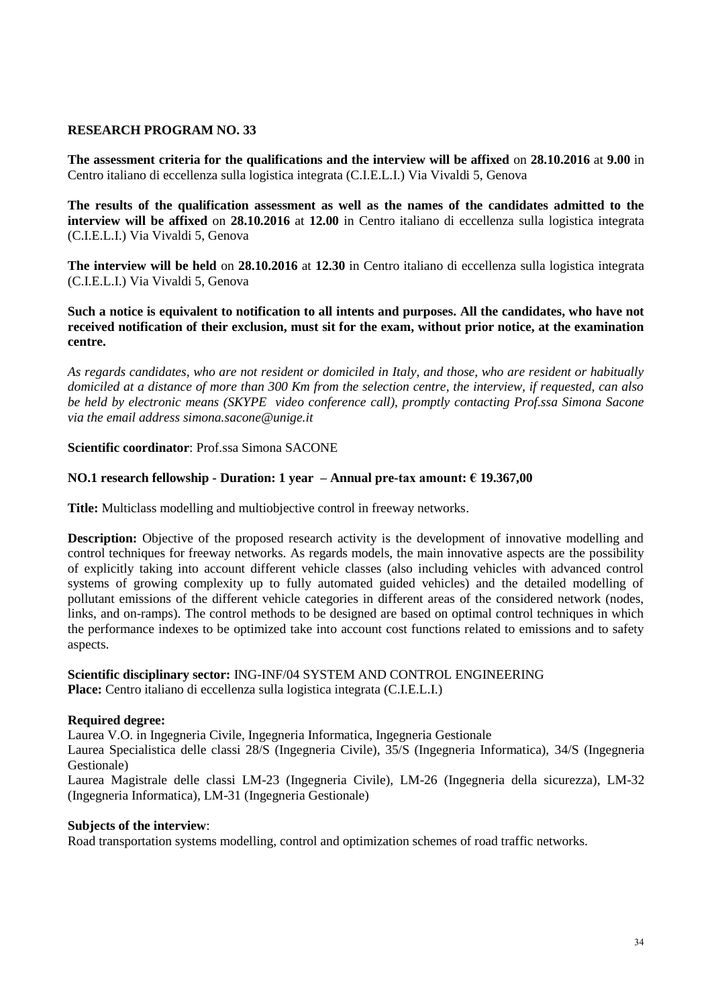**The assessment criteria for the qualifications and the interview will be affixed** on **28.10.2016** at **9.00** in Centro italiano di eccellenza sulla logistica integrata (C.I.E.L.I.) Via Vivaldi 5, Genova

**The results of the qualification assessment as well as the names of the candidates admitted to the interview will be affixed** on **28.10.2016** at **12.00** in Centro italiano di eccellenza sulla logistica integrata (C.I.E.L.I.) Via Vivaldi 5, Genova

**The interview will be held** on **28.10.2016** at **12.30** in Centro italiano di eccellenza sulla logistica integrata (C.I.E.L.I.) Via Vivaldi 5, Genova

**Such a notice is equivalent to notification to all intents and purposes. All the candidates, who have not received notification of their exclusion, must sit for the exam, without prior notice, at the examination centre.**

*As regards candidates, who are not resident or domiciled in Italy, and those, who are resident or habitually domiciled at a distance of more than 300 Km from the selection centre, the interview, if requested, can also be held by electronic means (SKYPE video conference call), promptly contacting Prof.ssa Simona Sacone via the email address simona.sacone@unige.it*

### **Scientific coordinator**: Prof.ssa Simona SACONE

# **NO.1 research fellowship - Duration: 1 year – Annual pre-tax amount: € 19.367,00**

**Title:** Multiclass modelling and multiobjective control in freeway networks.

**Description:** Objective of the proposed research activity is the development of innovative modelling and control techniques for freeway networks. As regards models, the main innovative aspects are the possibility of explicitly taking into account different vehicle classes (also including vehicles with advanced control systems of growing complexity up to fully automated guided vehicles) and the detailed modelling of pollutant emissions of the different vehicle categories in different areas of the considered network (nodes, links, and on-ramps). The control methods to be designed are based on optimal control techniques in which the performance indexes to be optimized take into account cost functions related to emissions and to safety aspects.

### **Scientific disciplinary sector:** ING-INF/04 SYSTEM AND CONTROL ENGINEERING **Place:** Centro italiano di eccellenza sulla logistica integrata (C.I.E.L.I.)

### **Required degree:**

Laurea V.O. in Ingegneria Civile, Ingegneria Informatica, Ingegneria Gestionale

Laurea Specialistica delle classi 28/S (Ingegneria Civile), 35/S (Ingegneria Informatica), 34/S (Ingegneria Gestionale)

Laurea Magistrale delle classi LM-23 (Ingegneria Civile), LM-26 (Ingegneria della sicurezza), LM-32 (Ingegneria Informatica), LM-31 (Ingegneria Gestionale)

### **Subjects of the interview**:

Road transportation systems modelling, control and optimization schemes of road traffic networks.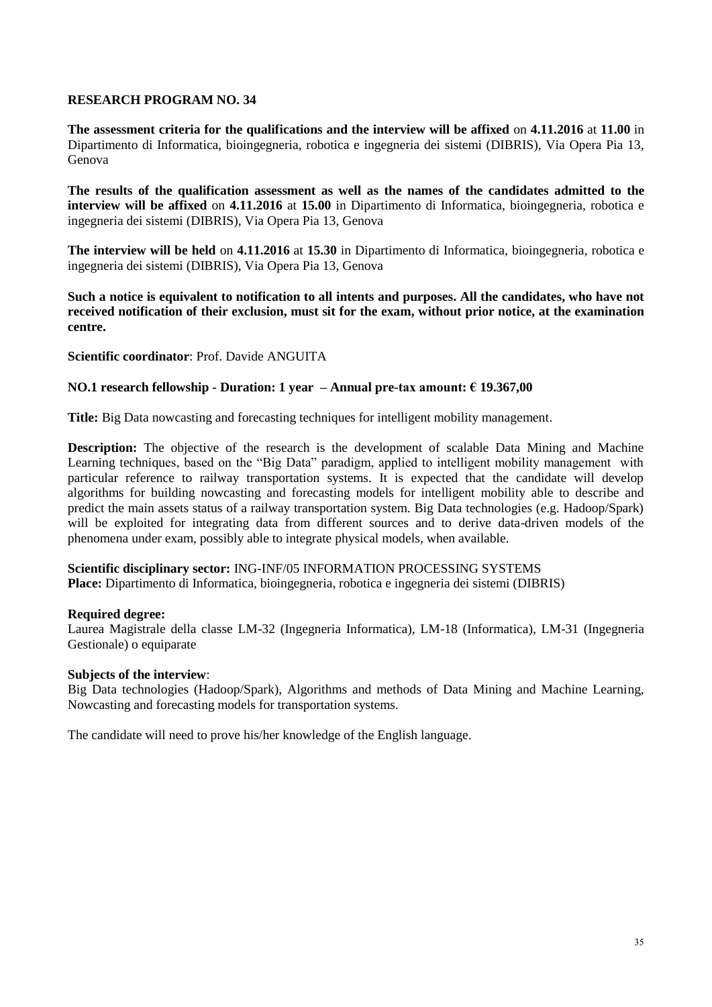**The assessment criteria for the qualifications and the interview will be affixed** on **4.11.2016** at **11.00** in Dipartimento di Informatica, bioingegneria, robotica e ingegneria dei sistemi (DIBRIS), Via Opera Pia 13, Genova

**The results of the qualification assessment as well as the names of the candidates admitted to the interview will be affixed** on **4.11.2016** at **15.00** in Dipartimento di Informatica, bioingegneria, robotica e ingegneria dei sistemi (DIBRIS), Via Opera Pia 13, Genova

**The interview will be held** on **4.11.2016** at **15.30** in Dipartimento di Informatica, bioingegneria, robotica e ingegneria dei sistemi (DIBRIS), Via Opera Pia 13, Genova

**Such a notice is equivalent to notification to all intents and purposes. All the candidates, who have not received notification of their exclusion, must sit for the exam, without prior notice, at the examination centre.**

**Scientific coordinator**: Prof. Davide ANGUITA

### **NO.1 research fellowship - Duration: 1 year – Annual pre-tax amount: € 19.367,00**

**Title:** Big Data nowcasting and forecasting techniques for intelligent mobility management.

**Description:** The objective of the research is the development of scalable Data Mining and Machine Learning techniques, based on the "Big Data" paradigm, applied to intelligent mobility management with particular reference to railway transportation systems. It is expected that the candidate will develop algorithms for building nowcasting and forecasting models for intelligent mobility able to describe and predict the main assets status of a railway transportation system. Big Data technologies (e.g. Hadoop/Spark) will be exploited for integrating data from different sources and to derive data-driven models of the phenomena under exam, possibly able to integrate physical models, when available.

# **Scientific disciplinary sector:** ING-INF/05 INFORMATION PROCESSING SYSTEMS

**Place:** Dipartimento di Informatica, bioingegneria, robotica e ingegneria dei sistemi (DIBRIS)

### **Required degree:**

Laurea Magistrale della classe LM-32 (Ingegneria Informatica), LM-18 (Informatica), LM-31 (Ingegneria Gestionale) o equiparate

### **Subjects of the interview**:

Big Data technologies (Hadoop/Spark), Algorithms and methods of Data Mining and Machine Learning, Nowcasting and forecasting models for transportation systems.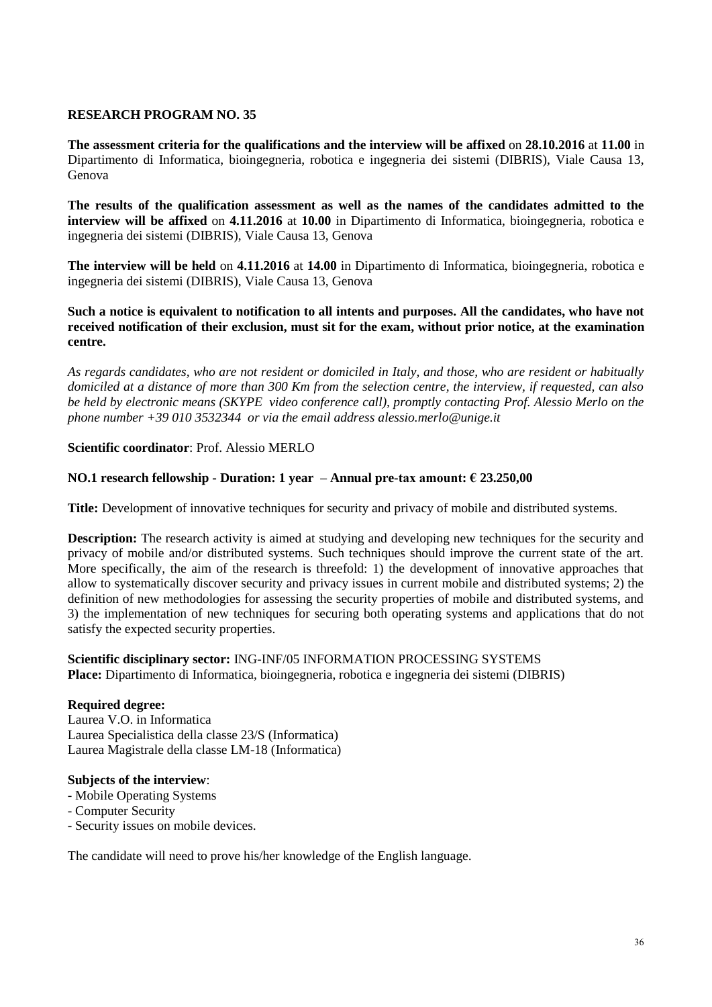**The assessment criteria for the qualifications and the interview will be affixed** on **28.10.2016** at **11.00** in Dipartimento di Informatica, bioingegneria, robotica e ingegneria dei sistemi (DIBRIS), Viale Causa 13, Genova

**The results of the qualification assessment as well as the names of the candidates admitted to the interview will be affixed** on **4.11.2016** at **10.00** in Dipartimento di Informatica, bioingegneria, robotica e ingegneria dei sistemi (DIBRIS), Viale Causa 13, Genova

**The interview will be held** on **4.11.2016** at **14.00** in Dipartimento di Informatica, bioingegneria, robotica e ingegneria dei sistemi (DIBRIS), Viale Causa 13, Genova

### **Such a notice is equivalent to notification to all intents and purposes. All the candidates, who have not received notification of their exclusion, must sit for the exam, without prior notice, at the examination centre.**

*As regards candidates, who are not resident or domiciled in Italy, and those, who are resident or habitually domiciled at a distance of more than 300 Km from the selection centre, the interview, if requested, can also be held by electronic means (SKYPE video conference call), promptly contacting Prof. Alessio Merlo on the phone number +39 010 3532344 or via the email address alessio.merlo@unige.it*

# **Scientific coordinator**: Prof. Alessio MERLO

# **NO.1 research fellowship - Duration: 1 year – Annual pre-tax amount: € 23.250,00**

**Title:** Development of innovative techniques for security and privacy of mobile and distributed systems.

**Description:** The research activity is aimed at studying and developing new techniques for the security and privacy of mobile and/or distributed systems. Such techniques should improve the current state of the art. More specifically, the aim of the research is threefold: 1) the development of innovative approaches that allow to systematically discover security and privacy issues in current mobile and distributed systems; 2) the definition of new methodologies for assessing the security properties of mobile and distributed systems, and 3) the implementation of new techniques for securing both operating systems and applications that do not satisfy the expected security properties.

#### **Scientific disciplinary sector:** ING-INF/05 INFORMATION PROCESSING SYSTEMS **Place:** Dipartimento di Informatica, bioingegneria, robotica e ingegneria dei sistemi (DIBRIS)

### **Required degree:**

Laurea V.O. in Informatica Laurea Specialistica della classe 23/S (Informatica) Laurea Magistrale della classe LM-18 (Informatica)

### **Subjects of the interview**:

- Mobile Operating Systems
- Computer Security
- Security issues on mobile devices.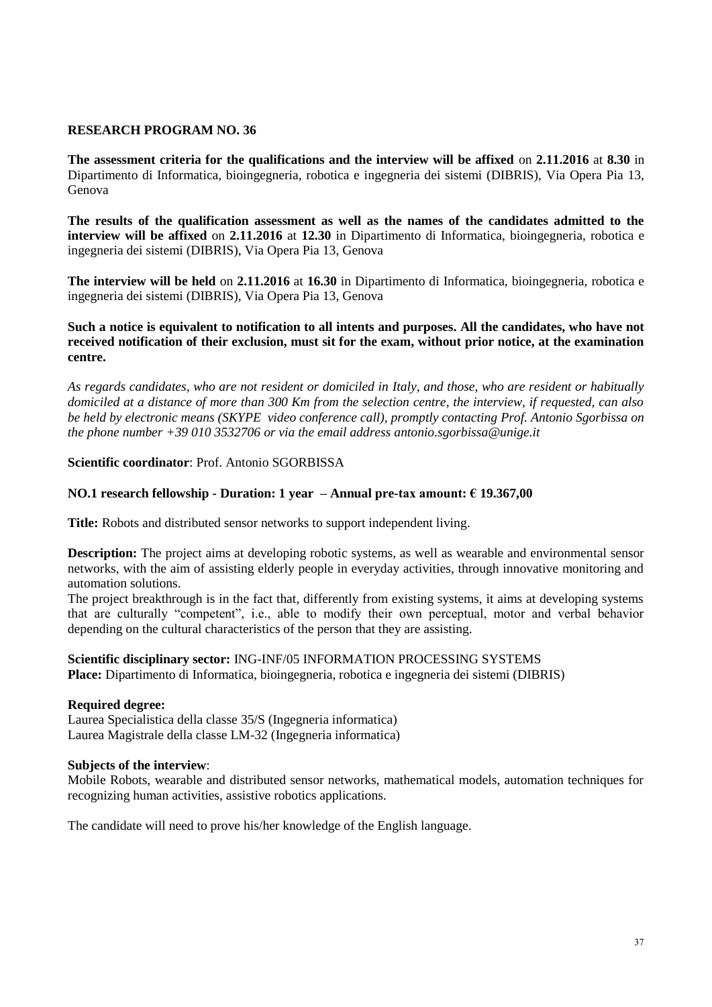**The assessment criteria for the qualifications and the interview will be affixed** on **2.11.2016** at **8.30** in Dipartimento di Informatica, bioingegneria, robotica e ingegneria dei sistemi (DIBRIS), Via Opera Pia 13, Genova

**The results of the qualification assessment as well as the names of the candidates admitted to the interview will be affixed** on **2.11.2016** at **12.30** in Dipartimento di Informatica, bioingegneria, robotica e ingegneria dei sistemi (DIBRIS), Via Opera Pia 13, Genova

**The interview will be held** on **2.11.2016** at **16.30** in Dipartimento di Informatica, bioingegneria, robotica e ingegneria dei sistemi (DIBRIS), Via Opera Pia 13, Genova

### **Such a notice is equivalent to notification to all intents and purposes. All the candidates, who have not received notification of their exclusion, must sit for the exam, without prior notice, at the examination centre.**

*As regards candidates, who are not resident or domiciled in Italy, and those, who are resident or habitually domiciled at a distance of more than 300 Km from the selection centre, the interview, if requested, can also be held by electronic means (SKYPE video conference call), promptly contacting Prof. Antonio Sgorbissa on the phone number +39 010 3532706 or via the email address antonio.sgorbissa@unige.it*

### **Scientific coordinator**: Prof. Antonio SGORBISSA

#### **NO.1 research fellowship - Duration: 1 year – Annual pre-tax amount: € 19.367,00**

**Title:** Robots and distributed sensor networks to support independent living.

**Description:** The project aims at developing robotic systems, as well as wearable and environmental sensor networks, with the aim of assisting elderly people in everyday activities, through innovative monitoring and automation solutions.

The project breakthrough is in the fact that, differently from existing systems, it aims at developing systems that are culturally "competent", i.e., able to modify their own perceptual, motor and verbal behavior depending on the cultural characteristics of the person that they are assisting.

**Scientific disciplinary sector:** ING-INF/05 INFORMATION PROCESSING SYSTEMS **Place:** Dipartimento di Informatica, bioingegneria, robotica e ingegneria dei sistemi (DIBRIS)

#### **Required degree:**

Laurea Specialistica della classe 35/S (Ingegneria informatica) Laurea Magistrale della classe LM-32 (Ingegneria informatica)

#### **Subjects of the interview**:

Mobile Robots, wearable and distributed sensor networks, mathematical models, automation techniques for recognizing human activities, assistive robotics applications.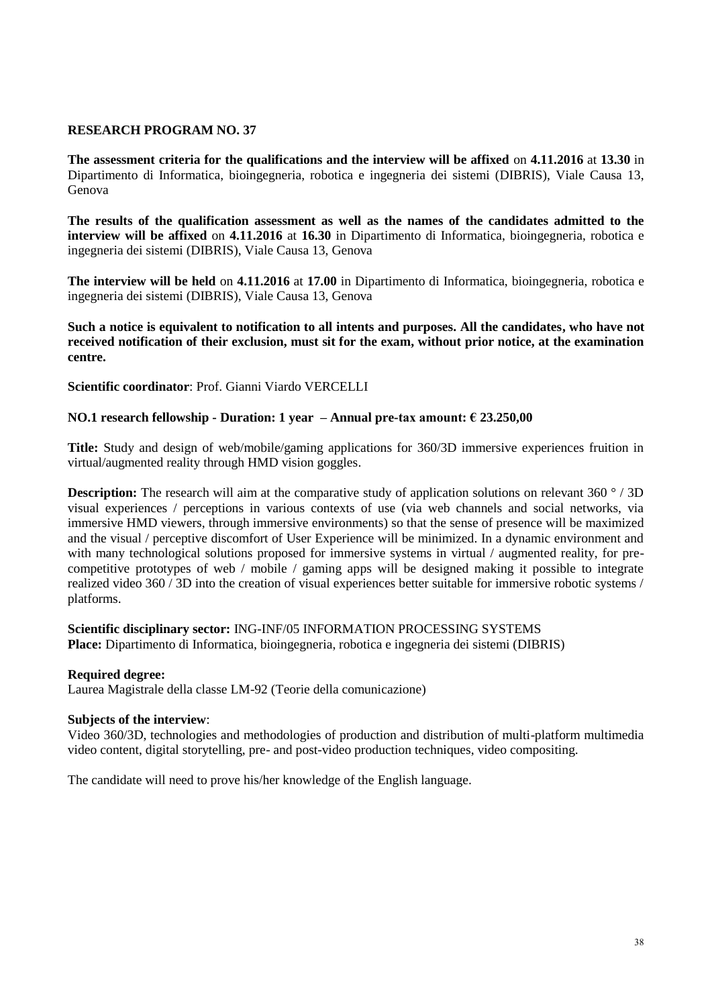**The assessment criteria for the qualifications and the interview will be affixed** on **4.11.2016** at **13.30** in Dipartimento di Informatica, bioingegneria, robotica e ingegneria dei sistemi (DIBRIS), Viale Causa 13, Genova

**The results of the qualification assessment as well as the names of the candidates admitted to the interview will be affixed** on **4.11.2016** at **16.30** in Dipartimento di Informatica, bioingegneria, robotica e ingegneria dei sistemi (DIBRIS), Viale Causa 13, Genova

**The interview will be held** on **4.11.2016** at **17.00** in Dipartimento di Informatica, bioingegneria, robotica e ingegneria dei sistemi (DIBRIS), Viale Causa 13, Genova

**Such a notice is equivalent to notification to all intents and purposes. All the candidates, who have not received notification of their exclusion, must sit for the exam, without prior notice, at the examination centre.**

**Scientific coordinator**: Prof. Gianni Viardo VERCELLI

# **NO.1 research fellowship - Duration: 1 year – Annual pre-tax amount: € 23.250,00**

**Title:** Study and design of web/mobile/gaming applications for 360/3D immersive experiences fruition in virtual/augmented reality through HMD vision goggles.

**Description:** The research will aim at the comparative study of application solutions on relevant 360 ° / 3D visual experiences / perceptions in various contexts of use (via web channels and social networks, via immersive HMD viewers, through immersive environments) so that the sense of presence will be maximized and the visual / perceptive discomfort of User Experience will be minimized. In a dynamic environment and with many technological solutions proposed for immersive systems in virtual / augmented reality, for precompetitive prototypes of web / mobile / gaming apps will be designed making it possible to integrate realized video 360 / 3D into the creation of visual experiences better suitable for immersive robotic systems / platforms.

**Scientific disciplinary sector:** ING-INF/05 INFORMATION PROCESSING SYSTEMS **Place:** Dipartimento di Informatica, bioingegneria, robotica e ingegneria dei sistemi (DIBRIS)

### **Required degree:**

Laurea Magistrale della classe LM-92 (Teorie della comunicazione)

### **Subjects of the interview**:

Video 360/3D, technologies and methodologies of production and distribution of multi-platform multimedia video content, digital storytelling, pre- and post-video production techniques, video compositing.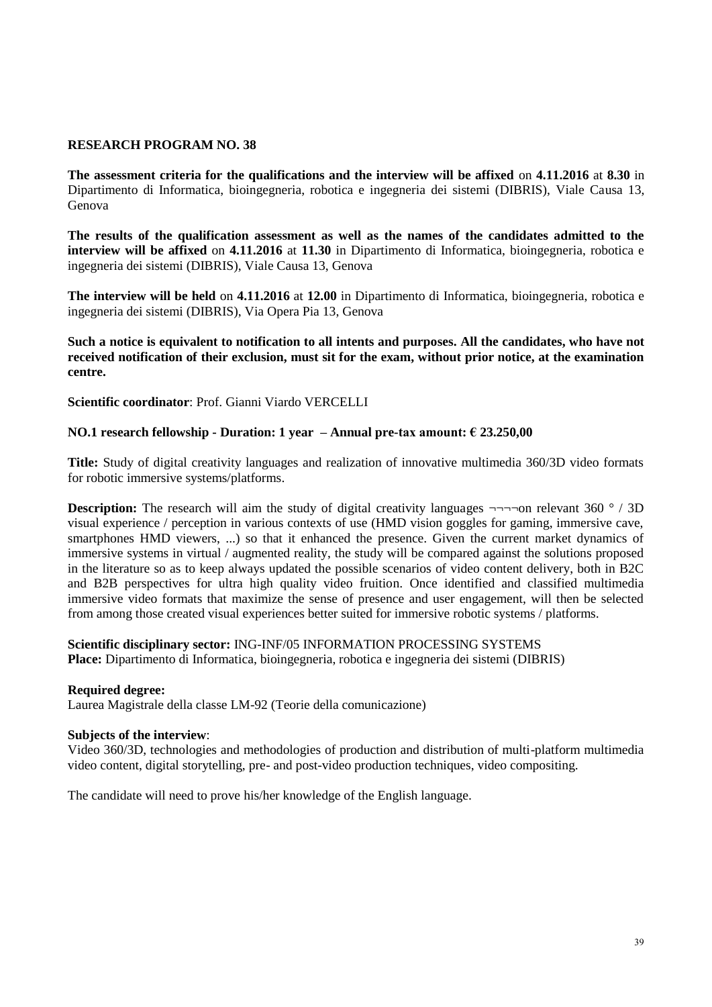**The assessment criteria for the qualifications and the interview will be affixed** on **4.11.2016** at **8.30** in Dipartimento di Informatica, bioingegneria, robotica e ingegneria dei sistemi (DIBRIS), Viale Causa 13, Genova

**The results of the qualification assessment as well as the names of the candidates admitted to the interview will be affixed** on **4.11.2016** at **11.30** in Dipartimento di Informatica, bioingegneria, robotica e ingegneria dei sistemi (DIBRIS), Viale Causa 13, Genova

**The interview will be held** on **4.11.2016** at **12.00** in Dipartimento di Informatica, bioingegneria, robotica e ingegneria dei sistemi (DIBRIS), Via Opera Pia 13, Genova

**Such a notice is equivalent to notification to all intents and purposes. All the candidates, who have not received notification of their exclusion, must sit for the exam, without prior notice, at the examination centre.**

**Scientific coordinator**: Prof. Gianni Viardo VERCELLI

# **NO.1 research fellowship - Duration: 1 year – Annual pre-tax amount: € 23.250,00**

**Title:** Study of digital creativity languages and realization of innovative multimedia 360/3D video formats for robotic immersive systems/platforms.

**Description:** The research will aim the study of digital creativity languages  $\neg\neg\neg$ on relevant 360 ° / 3D visual experience / perception in various contexts of use (HMD vision goggles for gaming, immersive cave, smartphones HMD viewers, ...) so that it enhanced the presence. Given the current market dynamics of immersive systems in virtual / augmented reality, the study will be compared against the solutions proposed in the literature so as to keep always updated the possible scenarios of video content delivery, both in B2C and B2B perspectives for ultra high quality video fruition. Once identified and classified multimedia immersive video formats that maximize the sense of presence and user engagement, will then be selected from among those created visual experiences better suited for immersive robotic systems / platforms.

**Scientific disciplinary sector:** ING-INF/05 INFORMATION PROCESSING SYSTEMS **Place:** Dipartimento di Informatica, bioingegneria, robotica e ingegneria dei sistemi (DIBRIS)

### **Required degree:**

Laurea Magistrale della classe LM-92 (Teorie della comunicazione)

### **Subjects of the interview**:

Video 360/3D, technologies and methodologies of production and distribution of multi-platform multimedia video content, digital storytelling, pre- and post-video production techniques, video compositing.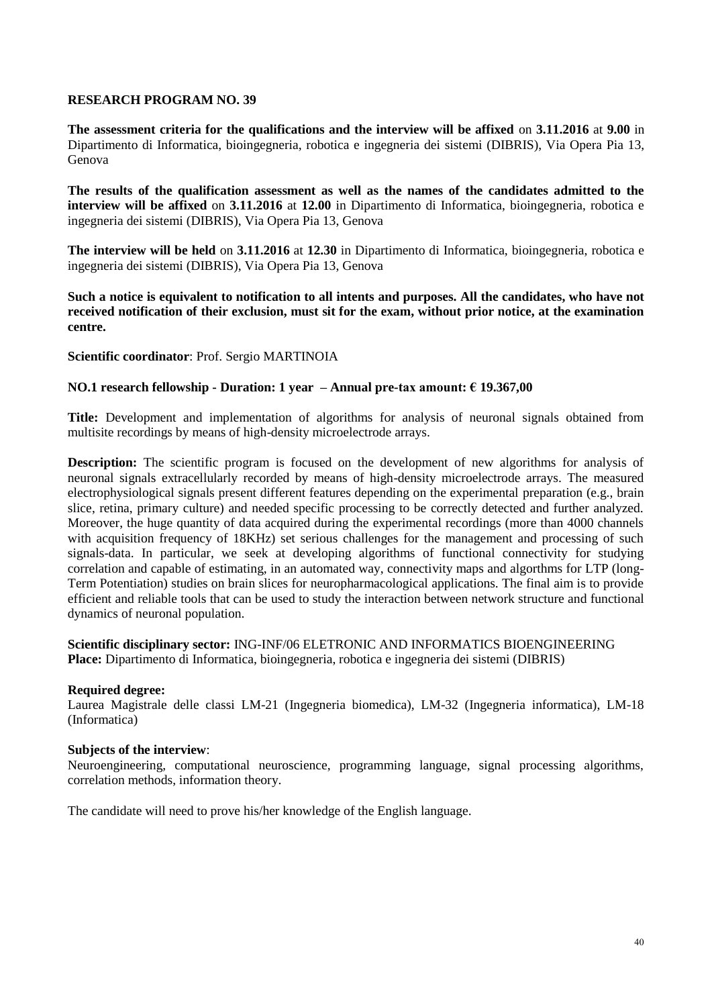**The assessment criteria for the qualifications and the interview will be affixed** on **3.11.2016** at **9.00** in Dipartimento di Informatica, bioingegneria, robotica e ingegneria dei sistemi (DIBRIS), Via Opera Pia 13, Genova

**The results of the qualification assessment as well as the names of the candidates admitted to the interview will be affixed** on **3.11.2016** at **12.00** in Dipartimento di Informatica, bioingegneria, robotica e ingegneria dei sistemi (DIBRIS), Via Opera Pia 13, Genova

**The interview will be held** on **3.11.2016** at **12.30** in Dipartimento di Informatica, bioingegneria, robotica e ingegneria dei sistemi (DIBRIS), Via Opera Pia 13, Genova

**Such a notice is equivalent to notification to all intents and purposes. All the candidates, who have not received notification of their exclusion, must sit for the exam, without prior notice, at the examination centre.**

**Scientific coordinator**: Prof. Sergio MARTINOIA

# **NO.1 research fellowship - Duration: 1 year – Annual pre-tax amount: € 19.367,00**

**Title:** Development and implementation of algorithms for analysis of neuronal signals obtained from multisite recordings by means of high-density microelectrode arrays.

**Description:** The scientific program is focused on the development of new algorithms for analysis of neuronal signals extracellularly recorded by means of high-density microelectrode arrays. The measured electrophysiological signals present different features depending on the experimental preparation (e.g., brain slice, retina, primary culture) and needed specific processing to be correctly detected and further analyzed. Moreover, the huge quantity of data acquired during the experimental recordings (more than 4000 channels with acquisition frequency of 18KHz) set serious challenges for the management and processing of such signals-data. In particular, we seek at developing algorithms of functional connectivity for studying correlation and capable of estimating, in an automated way, connectivity maps and algorthms for LTP (long-Term Potentiation) studies on brain slices for neuropharmacological applications. The final aim is to provide efficient and reliable tools that can be used to study the interaction between network structure and functional dynamics of neuronal population.

**Scientific disciplinary sector:** ING-INF/06 ELETRONIC AND INFORMATICS BIOENGINEERING **Place:** Dipartimento di Informatica, bioingegneria, robotica e ingegneria dei sistemi (DIBRIS)

### **Required degree:**

Laurea Magistrale delle classi LM-21 (Ingegneria biomedica), LM-32 (Ingegneria informatica), LM-18 (Informatica)

### **Subjects of the interview**:

Neuroengineering, computational neuroscience, programming language, signal processing algorithms, correlation methods, information theory.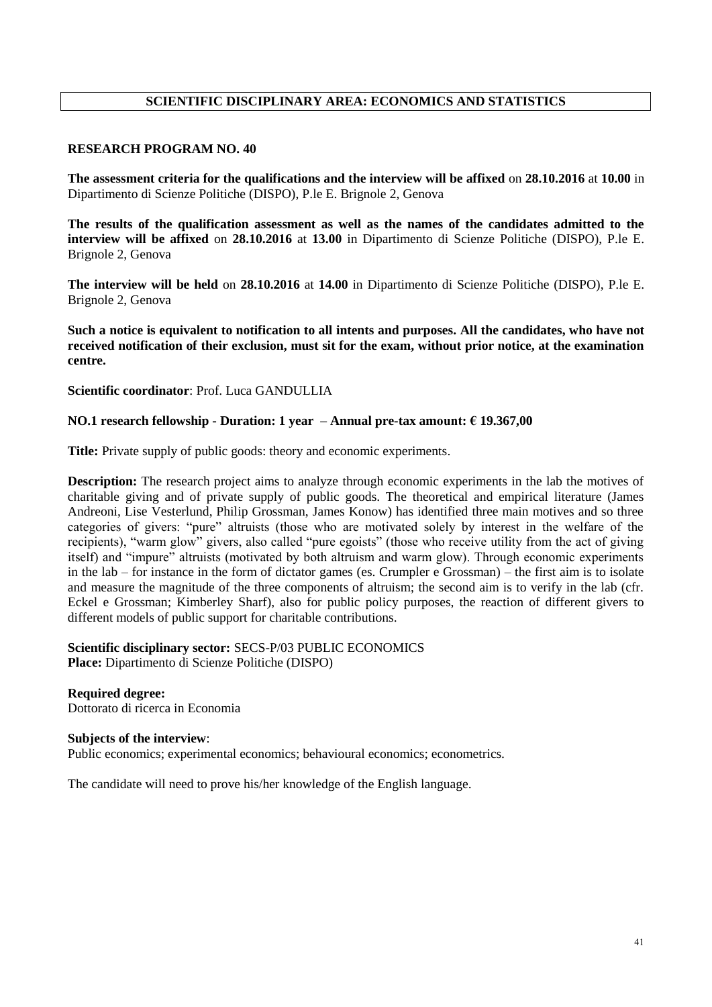# **SCIENTIFIC DISCIPLINARY AREA: ECONOMICS AND STATISTICS**

#### **RESEARCH PROGRAM NO. 40**

**The assessment criteria for the qualifications and the interview will be affixed** on **28.10.2016** at **10.00** in Dipartimento di Scienze Politiche (DISPO), P.le E. Brignole 2, Genova

**The results of the qualification assessment as well as the names of the candidates admitted to the interview will be affixed** on **28.10.2016** at **13.00** in Dipartimento di Scienze Politiche (DISPO), P.le E. Brignole 2, Genova

**The interview will be held** on **28.10.2016** at **14.00** in Dipartimento di Scienze Politiche (DISPO), P.le E. Brignole 2, Genova

**Such a notice is equivalent to notification to all intents and purposes. All the candidates, who have not received notification of their exclusion, must sit for the exam, without prior notice, at the examination centre.**

**Scientific coordinator**: Prof. Luca GANDULLIA

#### **NO.1 research fellowship - Duration: 1 year – Annual pre-tax amount: € 19.367,00**

**Title:** Private supply of public goods: theory and economic experiments.

**Description:** The research project aims to analyze through economic experiments in the lab the motives of charitable giving and of private supply of public goods. The theoretical and empirical literature (James Andreoni, Lise Vesterlund, Philip Grossman, James Konow) has identified three main motives and so three categories of givers: "pure" altruists (those who are motivated solely by interest in the welfare of the recipients), "warm glow" givers, also called "pure egoists" (those who receive utility from the act of giving itself) and "impure" altruists (motivated by both altruism and warm glow). Through economic experiments in the lab – for instance in the form of dictator games (es. Crumpler e Grossman) – the first aim is to isolate and measure the magnitude of the three components of altruism; the second aim is to verify in the lab (cfr. Eckel e Grossman; Kimberley Sharf), also for public policy purposes, the reaction of different givers to different models of public support for charitable contributions.

**Scientific disciplinary sector:** SECS-P/03 PUBLIC ECONOMICS **Place:** Dipartimento di Scienze Politiche (DISPO)

**Required degree:**  Dottorato di ricerca in Economia

#### **Subjects of the interview**:

Public economics; experimental economics; behavioural economics; econometrics.